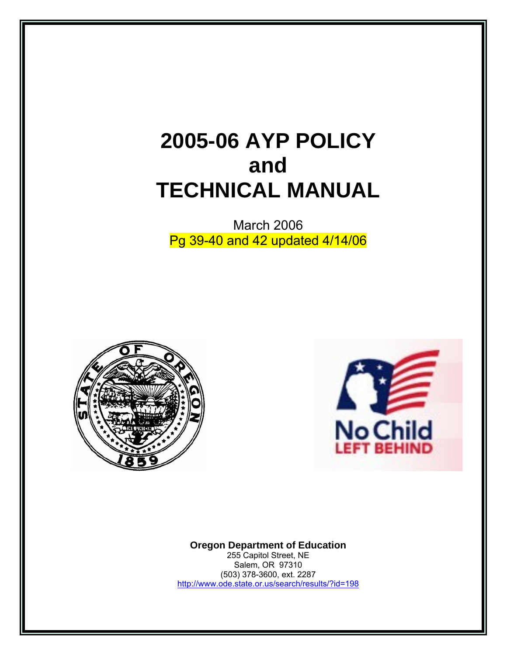# **2005-06 AYP POLICY and TECHNICAL MANUAL**

March 2006 Pg 39-40 and 42 updated 4/14/06





**Oregon Department of Education**  255 Capitol Street, NE Salem, OR 97310

(503) 378-3600, ext. 2287 <http://www.ode.state.or.us/search/results/?id=198>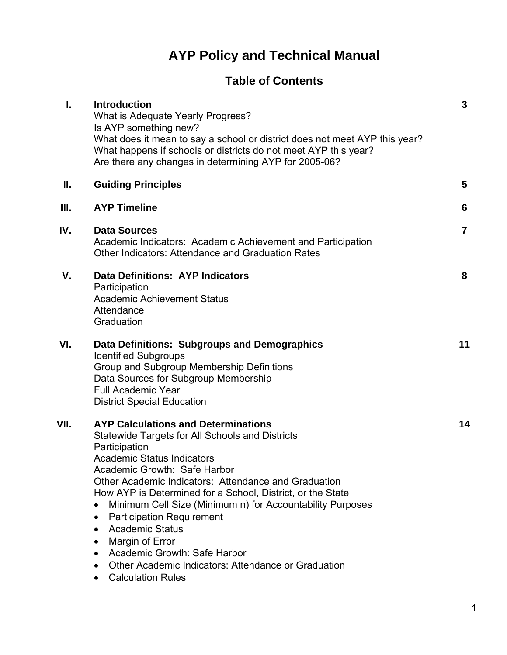## **AYP Policy and Technical Manual**

## **Table of Contents**

| I.   | <b>Introduction</b><br>What is Adequate Yearly Progress?<br>Is AYP something new?<br>What does it mean to say a school or district does not meet AYP this year?<br>What happens if schools or districts do not meet AYP this year?<br>Are there any changes in determining AYP for 2005-06?                                                                                                                                                                                                                                                                                                                              | $\mathbf{3}$   |
|------|--------------------------------------------------------------------------------------------------------------------------------------------------------------------------------------------------------------------------------------------------------------------------------------------------------------------------------------------------------------------------------------------------------------------------------------------------------------------------------------------------------------------------------------------------------------------------------------------------------------------------|----------------|
| Ш.   | <b>Guiding Principles</b>                                                                                                                                                                                                                                                                                                                                                                                                                                                                                                                                                                                                | 5              |
| III. | <b>AYP Timeline</b>                                                                                                                                                                                                                                                                                                                                                                                                                                                                                                                                                                                                      | 6              |
| IV.  | <b>Data Sources</b><br>Academic Indicators: Academic Achievement and Participation<br><b>Other Indicators: Attendance and Graduation Rates</b>                                                                                                                                                                                                                                                                                                                                                                                                                                                                           | $\overline{7}$ |
| V.   | <b>Data Definitions: AYP Indicators</b><br>Participation<br><b>Academic Achievement Status</b><br>Attendance<br>Graduation                                                                                                                                                                                                                                                                                                                                                                                                                                                                                               | 8              |
| VI.  | Data Definitions: Subgroups and Demographics<br><b>Identified Subgroups</b><br>Group and Subgroup Membership Definitions<br>Data Sources for Subgroup Membership<br><b>Full Academic Year</b><br><b>District Special Education</b>                                                                                                                                                                                                                                                                                                                                                                                       | 11             |
| VII. | <b>AYP Calculations and Determinations</b><br>Statewide Targets for All Schools and Districts<br>Participation<br><b>Academic Status Indicators</b><br>Academic Growth: Safe Harbor<br>Other Academic Indicators: Attendance and Graduation<br>How AYP is Determined for a School, District, or the State<br>Minimum Cell Size (Minimum n) for Accountability Purposes<br><b>Participation Requirement</b><br>٠<br><b>Academic Status</b><br>$\bullet$<br>Margin of Error<br>٠<br>Academic Growth: Safe Harbor<br>٠<br>Other Academic Indicators: Attendance or Graduation<br>٠<br><b>Calculation Rules</b><br>$\bullet$ | 14             |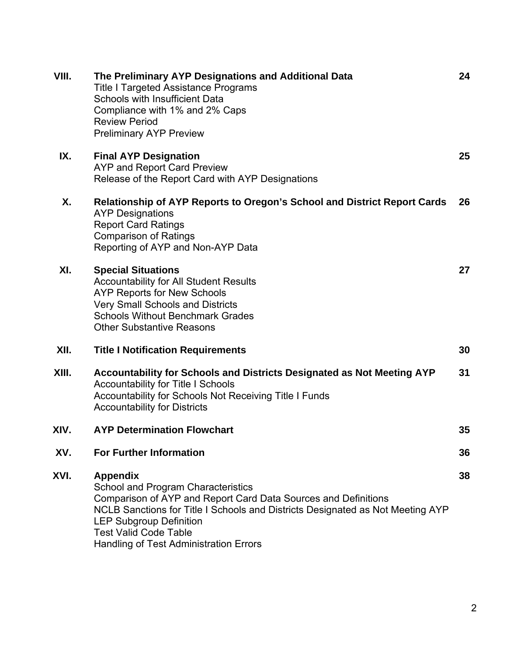| VIII. | The Preliminary AYP Designations and Additional Data<br><b>Title I Targeted Assistance Programs</b><br><b>Schools with Insufficient Data</b><br>Compliance with 1% and 2% Caps<br><b>Review Period</b><br><b>Preliminary AYP Preview</b>                                                                                     | 24 |
|-------|------------------------------------------------------------------------------------------------------------------------------------------------------------------------------------------------------------------------------------------------------------------------------------------------------------------------------|----|
| IX.   | <b>Final AYP Designation</b><br><b>AYP and Report Card Preview</b><br>Release of the Report Card with AYP Designations                                                                                                                                                                                                       | 25 |
| Χ.    | <b>Relationship of AYP Reports to Oregon's School and District Report Cards</b><br><b>AYP Designations</b><br><b>Report Card Ratings</b><br><b>Comparison of Ratings</b><br>Reporting of AYP and Non-AYP Data                                                                                                                | 26 |
| XI.   | <b>Special Situations</b><br><b>Accountability for All Student Results</b><br><b>AYP Reports for New Schools</b><br><b>Very Small Schools and Districts</b><br><b>Schools Without Benchmark Grades</b><br><b>Other Substantive Reasons</b>                                                                                   | 27 |
| XII.  | <b>Title I Notification Requirements</b>                                                                                                                                                                                                                                                                                     | 30 |
| XIII. | Accountability for Schools and Districts Designated as Not Meeting AYP<br><b>Accountability for Title I Schools</b><br>Accountability for Schools Not Receiving Title I Funds<br><b>Accountability for Districts</b>                                                                                                         | 31 |
| XIV.  | <b>AYP Determination Flowchart</b>                                                                                                                                                                                                                                                                                           | 35 |
| XV.   | <b>For Further Information</b>                                                                                                                                                                                                                                                                                               | 36 |
| XVI.  | <b>Appendix</b><br>School and Program Characteristics<br>Comparison of AYP and Report Card Data Sources and Definitions<br>NCLB Sanctions for Title I Schools and Districts Designated as Not Meeting AYP<br><b>LEP Subgroup Definition</b><br><b>Test Valid Code Table</b><br><b>Handling of Test Administration Errors</b> | 38 |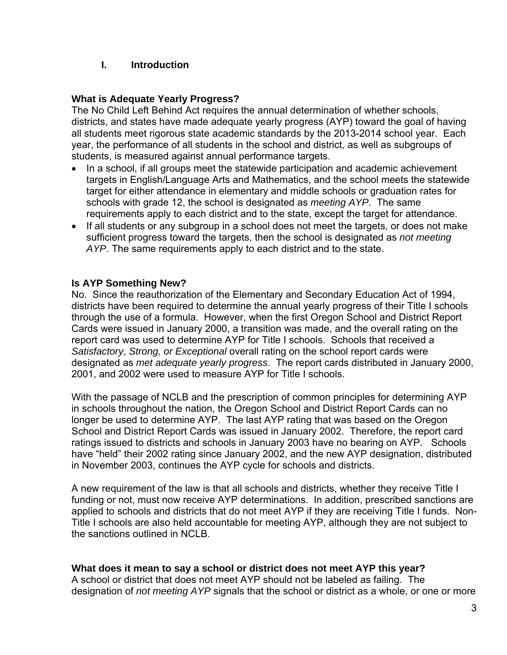#### **I. Introduction**

#### **What is Adequate Yearly Progress?**

The No Child Left Behind Act requires the annual determination of whether schools, districts, and states have made adequate yearly progress (AYP) toward the goal of having all students meet rigorous state academic standards by the 2013-2014 school year. Each year, the performance of all students in the school and district, as well as subgroups of students, is measured against annual performance targets.

- In a school, if all groups meet the statewide participation and academic achievement targets in English/Language Arts and Mathematics, and the school meets the statewide target for either attendance in elementary and middle schools or graduation rates for schools with grade 12, the school is designated as *meeting AYP*. The same requirements apply to each district and to the state, except the target for attendance.
- If all students or any subgroup in a school does not meet the targets, or does not make sufficient progress toward the targets, then the school is designated as *not meeting AYP*. The same requirements apply to each district and to the state.

#### **Is AYP Something New?**

No. Since the reauthorization of the Elementary and Secondary Education Act of 1994, districts have been required to determine the annual yearly progress of their Title I schools through the use of a formula. However, when the first Oregon School and District Report Cards were issued in January 2000, a transition was made, and the overall rating on the report card was used to determine AYP for Title I schools. Schools that received a *Satisfactory*, *Strong, or Exceptional* overall rating on the school report cards were designated as *met adequate yearly progress*. The report cards distributed in January 2000, 2001, and 2002 were used to measure AYP for Title I schools.

With the passage of NCLB and the prescription of common principles for determining AYP in schools throughout the nation, the Oregon School and District Report Cards can no longer be used to determine AYP. The last AYP rating that was based on the Oregon School and District Report Cards was issued in January 2002. Therefore, the report card ratings issued to districts and schools in January 2003 have no bearing on AYP. Schools have "held" their 2002 rating since January 2002, and the new AYP designation, distributed in November 2003, continues the AYP cycle for schools and districts.

A new requirement of the law is that all schools and districts, whether they receive Title I funding or not, must now receive AYP determinations. In addition, prescribed sanctions are applied to schools and districts that do not meet AYP if they are receiving Title I funds. Non-Title I schools are also held accountable for meeting AYP, although they are not subject to the sanctions outlined in NCLB.

#### **What does it mean to say a school or district does not meet AYP this year?**

A school or district that does not meet AYP should not be labeled as failing. The designation of *not meeting AYP* signals that the school or district as a whole, or one or more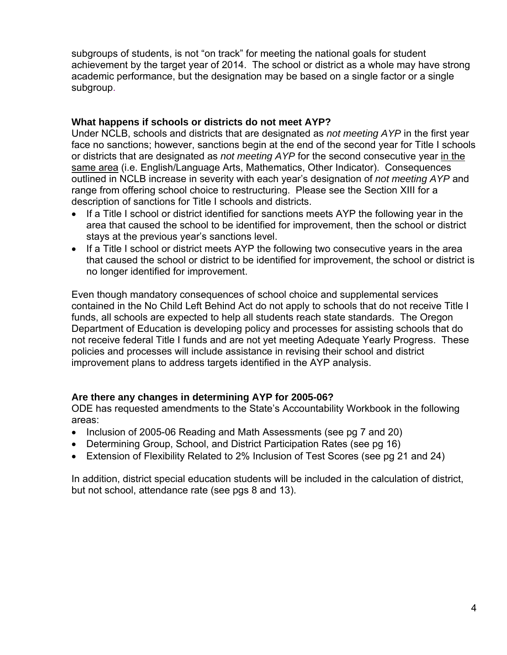subgroups of students, is not "on track" for meeting the national goals for student achievement by the target year of 2014. The school or district as a whole may have strong academic performance, but the designation may be based on a single factor or a single subgroup.

#### **What happens if schools or districts do not meet AYP?**

Under NCLB, schools and districts that are designated as *not meeting AYP* in the first year face no sanctions; however, sanctions begin at the end of the second year for Title I schools or districts that are designated as *not meeting AYP* for the second consecutive year in the same area (i.e. English/Language Arts, Mathematics, Other Indicator). Consequences outlined in NCLB increase in severity with each year's designation of *not meeting AYP* and range from offering school choice to restructuring. Please see the Section XIII for a description of sanctions for Title I schools and districts.

- If a Title I school or district identified for sanctions meets AYP the following year in the area that caused the school to be identified for improvement, then the school or district stays at the previous year's sanctions level.
- If a Title I school or district meets AYP the following two consecutive years in the area that caused the school or district to be identified for improvement, the school or district is no longer identified for improvement.

Even though mandatory consequences of school choice and supplemental services contained in the No Child Left Behind Act do not apply to schools that do not receive Title I funds, all schools are expected to help all students reach state standards. The Oregon Department of Education is developing policy and processes for assisting schools that do not receive federal Title I funds and are not yet meeting Adequate Yearly Progress. These policies and processes will include assistance in revising their school and district improvement plans to address targets identified in the AYP analysis.

#### **Are there any changes in determining AYP for 2005-06?**

ODE has requested amendments to the State's Accountability Workbook in the following areas:

- Inclusion of 2005-06 Reading and Math Assessments (see pg 7 and 20)
- Determining Group, School, and District Participation Rates (see pg 16)
- Extension of Flexibility Related to 2% Inclusion of Test Scores (see pg 21 and 24)

In addition, district special education students will be included in the calculation of district, but not school, attendance rate (see pgs 8 and 13).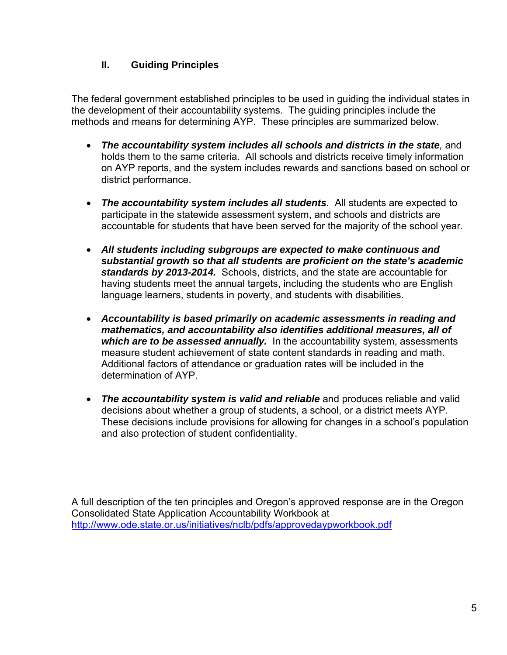#### **II. Guiding Principles**

The federal government established principles to be used in guiding the individual states in the development of their accountability systems. The guiding principles include the methods and means for determining AYP. These principles are summarized below.

- *The accountability system includes all schools and districts in the state,* and holds them to the same criteria. All schools and districts receive timely information on AYP reports, and the system includes rewards and sanctions based on school or district performance.
- *The accountability system includes all students.* All students are expected to participate in the statewide assessment system, and schools and districts are accountable for students that have been served for the majority of the school year.
- *All students including subgroups are expected to make continuous and substantial growth so that all students are proficient on the state's academic standards by 2013-2014.* Schools, districts, and the state are accountable for having students meet the annual targets, including the students who are English language learners, students in poverty, and students with disabilities.
- *Accountability is based primarily on academic assessments in reading and mathematics, and accountability also identifies additional measures, all of which are to be assessed annually.* In the accountability system, assessments measure student achievement of state content standards in reading and math. Additional factors of attendance or graduation rates will be included in the determination of AYP.
- *The accountability system is valid and reliable* and produces reliable and valid decisions about whether a group of students, a school, or a district meets AYP. These decisions include provisions for allowing for changes in a school's population and also protection of student confidentiality.

A full description of the ten principles and Oregon's approved response are in the Oregon Consolidated State Application Accountability Workbook at <http://www.ode.state.or.us/initiatives/nclb/pdfs/approvedaypworkbook.pdf>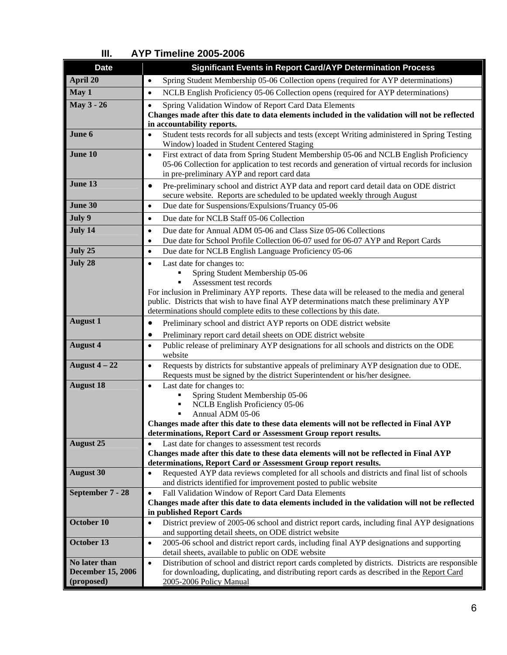| <b>Date</b>              | <b>Significant Events in Report Card/AYP Determination Process</b>                                                                                                                                                                                      |
|--------------------------|---------------------------------------------------------------------------------------------------------------------------------------------------------------------------------------------------------------------------------------------------------|
| April 20                 | Spring Student Membership 05-06 Collection opens (required for AYP determinations)<br>$\bullet$                                                                                                                                                         |
| May 1                    | NCLB English Proficiency 05-06 Collection opens (required for AYP determinations)<br>$\bullet$                                                                                                                                                          |
| May 3 - 26               | Spring Validation Window of Report Card Data Elements<br>$\bullet$                                                                                                                                                                                      |
|                          | Changes made after this date to data elements included in the validation will not be reflected                                                                                                                                                          |
| June 6                   | in accountability reports.                                                                                                                                                                                                                              |
|                          | Student tests records for all subjects and tests (except Writing administered in Spring Testing<br>$\bullet$<br>Window) loaded in Student Centered Staging                                                                                              |
| June 10                  | First extract of data from Spring Student Membership 05-06 and NCLB English Proficiency<br>$\bullet$<br>05-06 Collection for application to test records and generation of virtual records for inclusion<br>in pre-preliminary AYP and report card data |
| June 13                  | Pre-preliminary school and district AYP data and report card detail data on ODE district<br>$\bullet$                                                                                                                                                   |
|                          | secure website. Reports are scheduled to be updated weekly through August                                                                                                                                                                               |
| June 30                  | Due date for Suspensions/Expulsions/Truancy 05-06<br>$\bullet$                                                                                                                                                                                          |
| July 9                   | Due date for NCLB Staff 05-06 Collection<br>$\bullet$                                                                                                                                                                                                   |
| July 14                  | Due date for Annual ADM 05-06 and Class Size 05-06 Collections<br>$\bullet$                                                                                                                                                                             |
|                          | Due date for School Profile Collection 06-07 used for 06-07 AYP and Report Cards<br>$\bullet$                                                                                                                                                           |
| July 25                  | Due date for NCLB English Language Proficiency 05-06<br>$\bullet$                                                                                                                                                                                       |
| July 28                  | Last date for changes to:<br>$\bullet$                                                                                                                                                                                                                  |
|                          | Spring Student Membership 05-06                                                                                                                                                                                                                         |
|                          | Assessment test records                                                                                                                                                                                                                                 |
|                          | For inclusion in Preliminary AYP reports. These data will be released to the media and general                                                                                                                                                          |
|                          | public. Districts that wish to have final AYP determinations match these preliminary AYP                                                                                                                                                                |
|                          | determinations should complete edits to these collections by this date.                                                                                                                                                                                 |
| <b>August 1</b>          | Preliminary school and district AYP reports on ODE district website<br>$\bullet$                                                                                                                                                                        |
|                          | Preliminary report card detail sheets on ODE district website<br>٠                                                                                                                                                                                      |
| <b>August 4</b>          | Public release of preliminary AYP designations for all schools and districts on the ODE<br>$\bullet$<br>website                                                                                                                                         |
| August $4-22$            | Requests by districts for substantive appeals of preliminary AYP designation due to ODE.<br>$\bullet$                                                                                                                                                   |
|                          | Requests must be signed by the district Superintendent or his/her designee.                                                                                                                                                                             |
| <b>August 18</b>         | Last date for changes to:<br>$\bullet$                                                                                                                                                                                                                  |
|                          | Spring Student Membership 05-06                                                                                                                                                                                                                         |
|                          | NCLB English Proficiency 05-06                                                                                                                                                                                                                          |
|                          | Annual ADM 05-06<br>Changes made after this date to these data elements will not be reflected in Final AYP                                                                                                                                              |
|                          | determinations, Report Card or Assessment Group report results.                                                                                                                                                                                         |
| <b>August 25</b>         | Last date for changes to assessment test records                                                                                                                                                                                                        |
|                          | Changes made after this date to these data elements will not be reflected in Final AYP                                                                                                                                                                  |
|                          | determinations, Report Card or Assessment Group report results.                                                                                                                                                                                         |
| <b>August 30</b>         | Requested AYP data reviews completed for all schools and districts and final list of schools<br>$\bullet$                                                                                                                                               |
|                          | and districts identified for improvement posted to public website                                                                                                                                                                                       |
| September 7 - 28         | Fall Validation Window of Report Card Data Elements<br>$\bullet$                                                                                                                                                                                        |
|                          | Changes made after this date to data elements included in the validation will not be reflected<br>in published Report Cards                                                                                                                             |
| October 10               | District preview of 2005-06 school and district report cards, including final AYP designations<br>$\bullet$                                                                                                                                             |
|                          | and supporting detail sheets, on ODE district website                                                                                                                                                                                                   |
| October 13               | 2005-06 school and district report cards, including final AYP designations and supporting<br>$\bullet$                                                                                                                                                  |
|                          | detail sheets, available to public on ODE website                                                                                                                                                                                                       |
| No later than            | Distribution of school and district report cards completed by districts. Districts are responsible<br>$\bullet$                                                                                                                                         |
| <b>December 15, 2006</b> | for downloading, duplicating, and distributing report cards as described in the Report Card                                                                                                                                                             |
| (proposed)               | 2005-2006 Policy Manual                                                                                                                                                                                                                                 |

#### **III. AYP Timeline 2005-2006**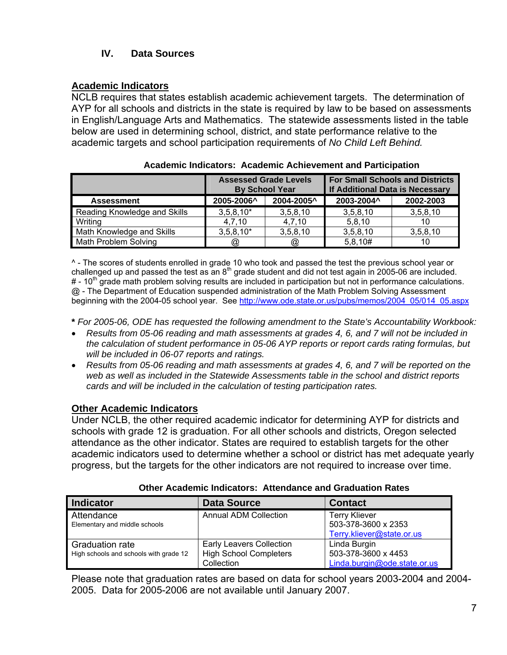#### **IV. Data Sources**

#### **Academic Indicators**

NCLB requires that states establish academic achievement targets. The determination of AYP for all schools and districts in the state is required by law to be based on assessments in English/Language Arts and Mathematics. The statewide assessments listed in the table below are used in determining school, district, and state performance relative to the academic targets and school participation requirements of *No Child Left Behind.* 

|                              | <b>Assessed Grade Levels</b><br><b>By School Year</b> |            | <b>For Small Schools and Districts</b><br>If Additional Data is Necessary |           |
|------------------------------|-------------------------------------------------------|------------|---------------------------------------------------------------------------|-----------|
| <b>Assessment</b>            | 2005-2006^                                            | 2004-2005^ | 2003-2004^                                                                | 2002-2003 |
| Reading Knowledge and Skills | $3,5,8,10*$                                           | 3,5,8,10   | 3,5,8,10                                                                  | 3,5,8,10  |
| Writing                      | 4.7.10                                                | 4.7.10     | 5.8.10                                                                    | 10        |
| Math Knowledge and Skills    | $3,5,8,10*$                                           | 3,5,8,10   | 3,5,8,10                                                                  | 3,5,8,10  |
| Math Problem Solving         | $^{\circledR}$                                        | ω,         | 5,8,10#                                                                   | 10        |

^ - The scores of students enrolled in grade 10 who took and passed the test the previous school year or challenged up and passed the test as an  $8<sup>th</sup>$  grade student and did not test again in 2005-06 are included.  $\#$  - 10<sup>th</sup> grade math problem solving results are included in participation but not in performance calculations. @ - The Department of Education suspended administration of the Math Problem Solving Assessment beginning with the 2004-05 school year. See [http://www.ode.state.or.us/pubs/memos/2004\\_05/014\\_05.aspx](http://www.ode.state.or.us/pubs/memos/2004_05/014_05.aspx) 

**\*** *For 2005-06, ODE has requested the following amendment to the State's Accountability Workbook:* 

- *Results from 05-06 reading and math assessments at grades 4, 6, and 7 will not be included in the calculation of student performance in 05-06 AYP reports or report cards rating formulas, but will be included in 06-07 reports and ratings.*
- *Results from 05-06 reading and math assessments at grades 4, 6, and 7 will be reported on the web as well as included in the Statewide Assessments table in the school and district reports cards and will be included in the calculation of testing participation rates.*

#### **Other Academic Indicators**

Under NCLB, the other required academic indicator for determining AYP for districts and schools with grade 12 is graduation. For all other schools and districts, Oregon selected attendance as the other indicator. States are required to establish targets for the other academic indicators used to determine whether a school or district has met adequate yearly progress, but the targets for the other indicators are not required to increase over time.

| <b>Indicator</b>                                          | <b>Data Source</b>                                                             | <b>Contact</b>                                                           |  |  |
|-----------------------------------------------------------|--------------------------------------------------------------------------------|--------------------------------------------------------------------------|--|--|
| Attendance<br>Elementary and middle schools               | <b>Annual ADM Collection</b>                                                   | <b>Terry Kliever</b><br>503-378-3600 x 2353<br>Terry.kliever@state.or.us |  |  |
| Graduation rate<br>High schools and schools with grade 12 | <b>Early Leavers Collection</b><br><b>High School Completers</b><br>Collection | Linda Burgin<br>503-378-3600 x 4453<br>Linda.burgin@ode.state.or.us      |  |  |

**Other Academic Indicators: Attendance and Graduation Rates**

Please note that graduation rates are based on data for school years 2003-2004 and 2004- 2005. Data for 2005-2006 are not available until January 2007.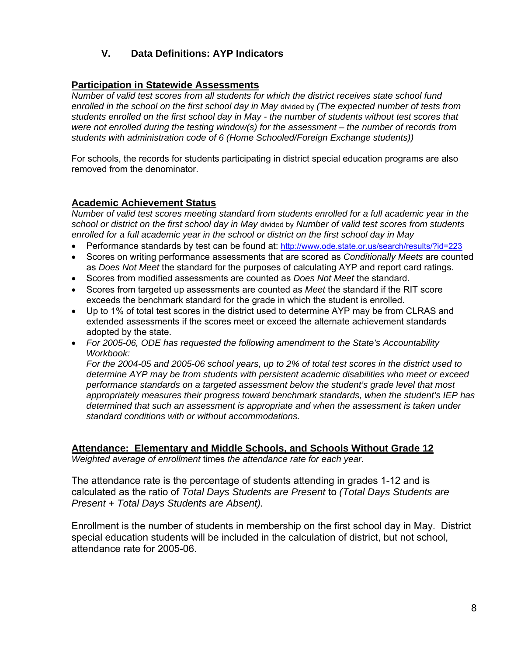#### **V. Data Definitions: AYP Indicators**

#### **Participation in Statewide Assessments**

*Number of valid test scores from all students for which the district receives state school fund enrolled in the school on the first school day in May* divided by *(The expected number of tests from students enrolled on the first school day in May - the number of students without test scores that were not enrolled during the testing window(s) for the assessment – the number of records from students with administration code of 6 (Home Schooled/Foreign Exchange students))* 

For schools, the records for students participating in district special education programs are also removed from the denominator.

#### **Academic Achievement Status**

*Number of valid test scores meeting standard from students enrolled for a full academic year in the school or district on the first school day in May* divided by *Number of valid test scores from students enrolled for a full academic year in the school or district on the first school day in May*

- Performance standards by test can be found at:<http://www.ode.state.or.us/search/results/?id=223>
- Scores on writing performance assessments that are scored as *Conditionally Meets* are counted as *Does Not Meet* the standard for the purposes of calculating AYP and report card ratings.
- Scores from modified assessments are counted as *Does Not Meet* the standard.
- Scores from targeted up assessments are counted as *Meet* the standard if the RIT score exceeds the benchmark standard for the grade in which the student is enrolled.
- Up to 1% of total test scores in the district used to determine AYP may be from CLRAS and extended assessments if the scores meet or exceed the alternate achievement standards adopted by the state.
- *For 2005-06, ODE has requested the following amendment to the State's Accountability Workbook:*

*For the 2004-05 and 2005-06 school years, up to 2% of total test scores in the district used to determine AYP may be from students with persistent academic disabilities who meet or exceed performance standards on a targeted assessment below the student's grade level that most appropriately measures their progress toward benchmark standards, when the student's IEP has determined that such an assessment is appropriate and when the assessment is taken under standard conditions with or without accommodations.* 

#### **Attendance: Elementary and Middle Schools, and Schools Without Grade 12**

*Weighted average of enrollment* times *the attendance rate for each year.* 

The attendance rate is the percentage of students attending in grades 1-12 and is calculated as the ratio of *Total Days Students are Present* to *(Total Days Students are Present + Total Days Students are Absent).* 

Enrollment is the number of students in membership on the first school day in May. District special education students will be included in the calculation of district, but not school, attendance rate for 2005-06.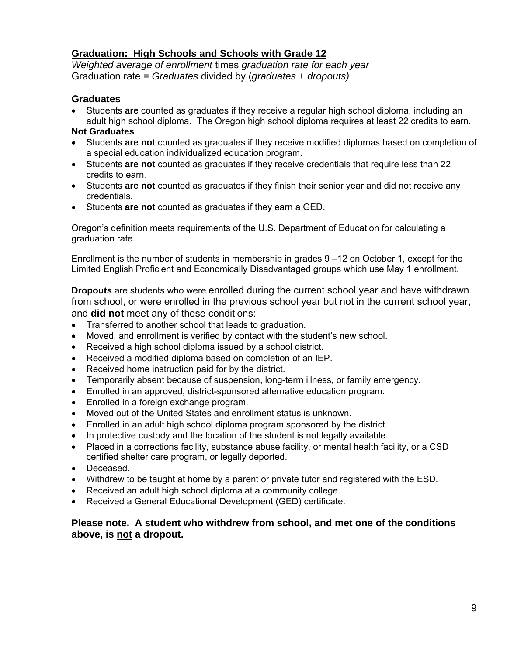#### **Graduation: High Schools and Schools with Grade 12**

*Weighted average of enrollment* times *graduation rate for each year*  Graduation rate = *Graduates* divided by (*graduates* + *dropouts)* 

#### **Graduates**

• Students **are** counted as graduates if they receive a regular high school diploma, including an adult high school diploma. The Oregon high school diploma requires at least 22 credits to earn.

#### **Not Graduates**

- Students **are not** counted as graduates if they receive modified diplomas based on completion of a special education individualized education program.
- Students **are not** counted as graduates if they receive credentials that require less than 22 credits to earn.
- Students **are not** counted as graduates if they finish their senior year and did not receive any credentials.
- Students **are not** counted as graduates if they earn a GED.

Oregon's definition meets requirements of the U.S. Department of Education for calculating a graduation rate.

Enrollment is the number of students in membership in grades 9 –12 on October 1, except for the Limited English Proficient and Economically Disadvantaged groups which use May 1 enrollment.

**Dropouts** are students who were enrolled during the current school year and have withdrawn from school, or were enrolled in the previous school year but not in the current school year, and **did not** meet any of these conditions:

- Transferred to another school that leads to graduation.
- Moved, and enrollment is verified by contact with the student's new school.
- Received a high school diploma issued by a school district.
- Received a modified diploma based on completion of an IEP.
- Received home instruction paid for by the district.
- Temporarily absent because of suspension, long-term illness, or family emergency.
- Enrolled in an approved, district-sponsored alternative education program.
- Enrolled in a foreign exchange program.
- Moved out of the United States and enrollment status is unknown.
- Enrolled in an adult high school diploma program sponsored by the district.
- In protective custody and the location of the student is not legally available.
- Placed in a corrections facility, substance abuse facility, or mental health facility, or a CSD certified shelter care program, or legally deported.
- Deceased.
- Withdrew to be taught at home by a parent or private tutor and registered with the ESD.
- Received an adult high school diploma at a community college.
- Received a General Educational Development (GED) certificate.

#### **Please note. A student who withdrew from school, and met one of the conditions above, is not a dropout.**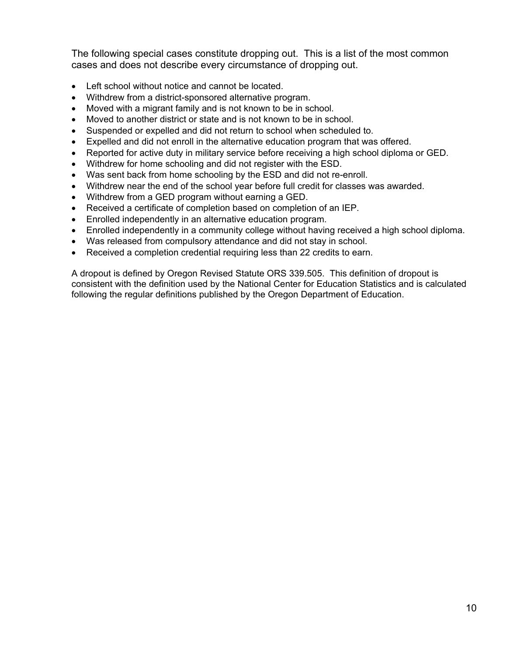The following special cases constitute dropping out. This is a list of the most common cases and does not describe every circumstance of dropping out.

- Left school without notice and cannot be located.
- Withdrew from a district-sponsored alternative program.
- Moved with a migrant family and is not known to be in school.
- Moved to another district or state and is not known to be in school.
- Suspended or expelled and did not return to school when scheduled to.
- Expelled and did not enroll in the alternative education program that was offered.
- Reported for active duty in military service before receiving a high school diploma or GED.
- Withdrew for home schooling and did not register with the ESD.
- Was sent back from home schooling by the ESD and did not re-enroll.
- Withdrew near the end of the school year before full credit for classes was awarded.
- Withdrew from a GED program without earning a GED.
- Received a certificate of completion based on completion of an IEP.
- Enrolled independently in an alternative education program.
- Enrolled independently in a community college without having received a high school diploma.
- Was released from compulsory attendance and did not stay in school.
- Received a completion credential requiring less than 22 credits to earn.

A dropout is defined by Oregon Revised Statute ORS 339.505. This definition of dropout is consistent with the definition used by the National Center for Education Statistics and is calculated following the regular definitions published by the Oregon Department of Education.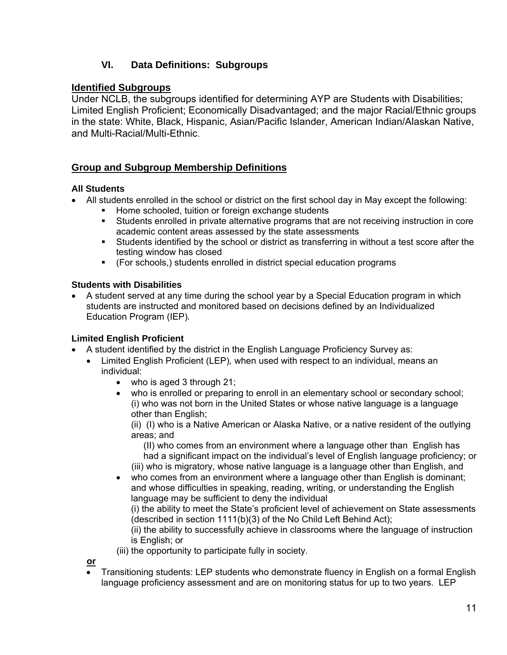#### **VI. Data Definitions: Subgroups**

#### **Identified Subgroups**

Under NCLB, the subgroups identified for determining AYP are Students with Disabilities; Limited English Proficient; Economically Disadvantaged; and the major Racial/Ethnic groups in the state: White, Black, Hispanic, Asian/Pacific Islander, American Indian/Alaskan Native, and Multi-Racial/Multi-Ethnic.

#### **Group and Subgroup Membership Definitions**

#### **All Students**

- All students enrolled in the school or district on the first school day in May except the following:
	- Home schooled, tuition or foreign exchange students
	- Students enrolled in private alternative programs that are not receiving instruction in core academic content areas assessed by the state assessments
	- Students identified by the school or district as transferring in without a test score after the testing window has closed
	- (For schools,) students enrolled in district special education programs

#### **Students with Disabilities**

• A student served at any time during the school year by a Special Education program in which students are instructed and monitored based on decisions defined by an Individualized Education Program (IEP)*.*

#### **Limited English Proficient**

- A student identified by the district in the English Language Proficiency Survey as:
	- Limited English Proficient (LEP)*,* when used with respect to an individual, means an individual:
		- who is aged 3 through 21;
		- who is enrolled or preparing to enroll in an elementary school or secondary school; (i) who was not born in the United States or whose native language is a language other than English;

(ii) (I) who is a Native American or Alaska Native, or a native resident of the outlying areas; and

(II) who comes from an environment where a language other than English has had a significant impact on the individual's level of English language proficiency; or (iii) who is migratory, whose native language is a language other than English, and

who comes from an environment where a language other than English is dominant; and whose difficulties in speaking, reading, writing, or understanding the English language may be sufficient to deny the individual

(i) the ability to meet the State's proficient level of achievement on State assessments (described in section 1111(b)(3) of the No Child Left Behind Act);

(ii) the ability to successfully achieve in classrooms where the language of instruction is English; or

(iii) the opportunity to participate fully in society.

**or**

• Transitioning students: LEP students who demonstrate fluency in English on a formal English language proficiency assessment and are on monitoring status for up to two years. LEP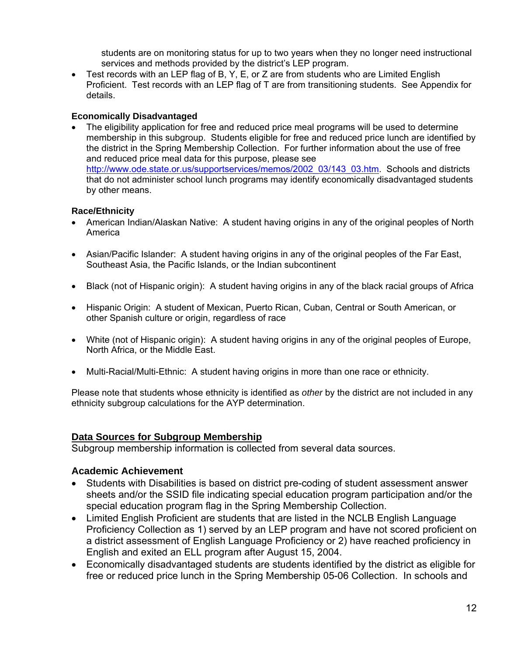students are on monitoring status for up to two years when they no longer need instructional services and methods provided by the district's LEP program.

• Test records with an LEP flag of B, Y, E, or Z are from students who are Limited English Proficient. Test records with an LEP flag of T are from transitioning students. See Appendix for details.

#### **Economically Disadvantaged**

• The eligibility application for free and reduced price meal programs will be used to determine membership in this subgroup. Students eligible for free and reduced price lunch are identified by the district in the Spring Membership Collection. For further information about the use of free and reduced price meal data for this purpose, please see [http://www.ode.state.or.us/supportservices/memos/2002\\_03/143\\_03.htm.](http://www.ode.state.or.us/supportservices/memos/2002_03/143_03.htm) Schools and districts that do not administer school lunch programs may identify economically disadvantaged students by other means.

#### **Race/Ethnicity**

- American Indian/Alaskan Native: A student having origins in any of the original peoples of North America
- Asian/Pacific Islander: A student having origins in any of the original peoples of the Far East, Southeast Asia, the Pacific Islands, or the Indian subcontinent
- Black (not of Hispanic origin): A student having origins in any of the black racial groups of Africa
- Hispanic Origin: A student of Mexican, Puerto Rican, Cuban, Central or South American, or other Spanish culture or origin, regardless of race
- White (not of Hispanic origin): A student having origins in any of the original peoples of Europe, North Africa, or the Middle East.
- Multi-Racial/Multi-Ethnic: A student having origins in more than one race or ethnicity.

Please note that students whose ethnicity is identified as *other* by the district are not included in any ethnicity subgroup calculations for the AYP determination.

#### **Data Sources for Subgroup Membership**

Subgroup membership information is collected from several data sources.

#### **Academic Achievement**

- Students with Disabilities is based on district pre-coding of student assessment answer sheets and/or the SSID file indicating special education program participation and/or the special education program flag in the Spring Membership Collection.
- Limited English Proficient are students that are listed in the NCLB English Language Proficiency Collection as 1) served by an LEP program and have not scored proficient on a district assessment of English Language Proficiency or 2) have reached proficiency in English and exited an ELL program after August 15, 2004.
- Economically disadvantaged students are students identified by the district as eligible for free or reduced price lunch in the Spring Membership 05-06 Collection. In schools and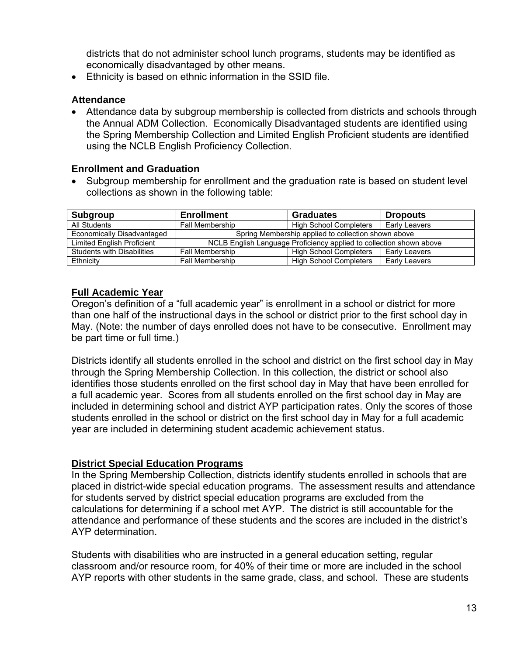districts that do not administer school lunch programs, students may be identified as economically disadvantaged by other means.

• Ethnicity is based on ethnic information in the SSID file.

#### **Attendance**

• Attendance data by subgroup membership is collected from districts and schools through the Annual ADM Collection. Economically Disadvantaged students are identified using the Spring Membership Collection and Limited English Proficient students are identified using the NCLB English Proficiency Collection.

#### **Enrollment and Graduation**

• Subgroup membership for enrollment and the graduation rate is based on student level collections as shown in the following table:

| Subgroup                          | <b>Enrollment</b>                                                   | <b>Graduates</b>              | <b>Dropouts</b> |  |
|-----------------------------------|---------------------------------------------------------------------|-------------------------------|-----------------|--|
| All Students                      | <b>Fall Membership</b>                                              | <b>High School Completers</b> | Early Leavers   |  |
| <b>Economically Disadvantaged</b> | Spring Membership applied to collection shown above                 |                               |                 |  |
| <b>Limited English Proficient</b> | NCLB English Language Proficiency applied to collection shown above |                               |                 |  |
| <b>Students with Disabilities</b> | <b>High School Completers</b><br><b>Fall Membership</b>             |                               | Early Leavers   |  |
| Ethnicity                         | <b>Fall Membership</b>                                              | <b>High School Completers</b> | Early Leavers   |  |

#### **Full Academic Year**

Oregon's definition of a "full academic year" is enrollment in a school or district for more than one half of the instructional days in the school or district prior to the first school day in May. (Note: the number of days enrolled does not have to be consecutive. Enrollment may be part time or full time.)

Districts identify all students enrolled in the school and district on the first school day in May through the Spring Membership Collection. In this collection, the district or school also identifies those students enrolled on the first school day in May that have been enrolled for a full academic year. Scores from all students enrolled on the first school day in May are included in determining school and district AYP participation rates. Only the scores of those students enrolled in the school or district on the first school day in May for a full academic year are included in determining student academic achievement status.

#### **District Special Education Programs**

In the Spring Membership Collection, districts identify students enrolled in schools that are placed in district-wide special education programs. The assessment results and attendance for students served by district special education programs are excluded from the calculations for determining if a school met AYP. The district is still accountable for the attendance and performance of these students and the scores are included in the district's AYP determination.

Students with disabilities who are instructed in a general education setting, regular classroom and/or resource room, for 40% of their time or more are included in the school AYP reports with other students in the same grade, class, and school. These are students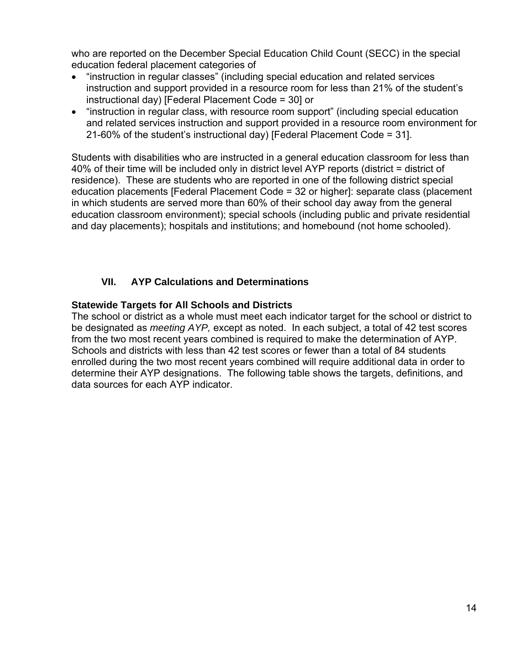who are reported on the December Special Education Child Count (SECC) in the special education federal placement categories of

- "instruction in regular classes" (including special education and related services instruction and support provided in a resource room for less than 21% of the student's instructional day) [Federal Placement Code = 30] or
- "instruction in regular class, with resource room support" (including special education and related services instruction and support provided in a resource room environment for 21-60% of the student's instructional day) [Federal Placement Code = 31].

Students with disabilities who are instructed in a general education classroom for less than 40% of their time will be included only in district level AYP reports (district = district of residence). These are students who are reported in one of the following district special education placements [Federal Placement Code = 32 or higher]: separate class (placement in which students are served more than 60% of their school day away from the general education classroom environment); special schools (including public and private residential and day placements); hospitals and institutions; and homebound (not home schooled).

#### **VII. AYP Calculations and Determinations**

#### **Statewide Targets for All Schools and Districts**

The school or district as a whole must meet each indicator target for the school or district to be designated as *meeting AYP,* except as noted. In each subject, a total of 42 test scores from the two most recent years combined is required to make the determination of AYP. Schools and districts with less than 42 test scores or fewer than a total of 84 students enrolled during the two most recent years combined will require additional data in order to determine their AYP designations. The following table shows the targets, definitions, and data sources for each AYP indicator.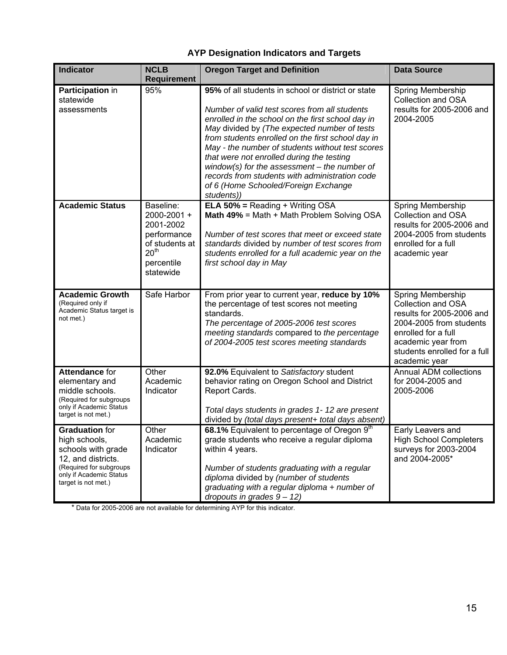### **AYP Designation Indicators and Targets**

| <b>Indicator</b>                                                                                                                                                | <b>NCLB</b><br><b>Requirement</b>                                                                                     | <b>Oregon Target and Definition</b>                                                                                                                                                                                                                                                                                                                                                                                                                                                                                      | <b>Data Source</b>                                                                                                                                                                                   |
|-----------------------------------------------------------------------------------------------------------------------------------------------------------------|-----------------------------------------------------------------------------------------------------------------------|--------------------------------------------------------------------------------------------------------------------------------------------------------------------------------------------------------------------------------------------------------------------------------------------------------------------------------------------------------------------------------------------------------------------------------------------------------------------------------------------------------------------------|------------------------------------------------------------------------------------------------------------------------------------------------------------------------------------------------------|
| Participation in<br>statewide<br>assessments                                                                                                                    | 95%                                                                                                                   | 95% of all students in school or district or state<br>Number of valid test scores from all students<br>enrolled in the school on the first school day in<br>May divided by (The expected number of tests<br>from students enrolled on the first school day in<br>May - the number of students without test scores<br>that were not enrolled during the testing<br>window(s) for the assessment $-$ the number of<br>records from students with administration code<br>of 6 (Home Schooled/Foreign Exchange<br>students)) | Spring Membership<br>Collection and OSA<br>results for 2005-2006 and<br>2004-2005                                                                                                                    |
| <b>Academic Status</b>                                                                                                                                          | Baseline:<br>2000-2001 +<br>2001-2002<br>performance<br>of students at<br>20 <sup>th</sup><br>percentile<br>statewide | <b>ELA 50% = Reading + Writing OSA</b><br>Math 49% = Math + Math Problem Solving OSA<br>Number of test scores that meet or exceed state<br>standards divided by number of test scores from<br>students enrolled for a full academic year on the<br>first school day in May                                                                                                                                                                                                                                               | Spring Membership<br>Collection and OSA<br>results for 2005-2006 and<br>2004-2005 from students<br>enrolled for a full<br>academic year                                                              |
| <b>Academic Growth</b><br>(Required only if<br>Academic Status target is<br>not met.)                                                                           | Safe Harbor                                                                                                           | From prior year to current year, reduce by 10%<br>the percentage of test scores not meeting<br>standards.<br>The percentage of 2005-2006 test scores<br>meeting standards compared to the percentage<br>of 2004-2005 test scores meeting standards                                                                                                                                                                                                                                                                       | Spring Membership<br><b>Collection and OSA</b><br>results for 2005-2006 and<br>2004-2005 from students<br>enrolled for a full<br>academic year from<br>students enrolled for a full<br>academic year |
| Attendance for<br>elementary and<br>middle schools.<br>(Required for subgroups<br>only if Academic Status<br>target is not met.)                                | Other<br>Academic<br>Indicator                                                                                        | 92.0% Equivalent to Satisfactory student<br>behavior rating on Oregon School and District<br>Report Cards.<br>Total days students in grades 1-12 are present<br>divided by (total days present+ total days absent)                                                                                                                                                                                                                                                                                                       | <b>Annual ADM collections</b><br>for 2004-2005 and<br>2005-2006                                                                                                                                      |
| <b>Graduation for</b><br>high schools,<br>schools with grade<br>12, and districts.<br>(Required for subgroups<br>only if Academic Status<br>target is not met.) | Other<br>Academic<br>Indicator                                                                                        | 68.1% Equivalent to percentage of Oregon 9th<br>grade students who receive a regular diploma<br>within 4 years.<br>Number of students graduating with a regular<br>diploma divided by (number of students<br>graduating with a regular diploma $+$ number of<br>dropouts in grades $9 - 12$ )                                                                                                                                                                                                                            | Early Leavers and<br><b>High School Completers</b><br>surveys for 2003-2004<br>and 2004-2005*                                                                                                        |

\* Data for 2005-2006 are not available for determining AYP for this indicator.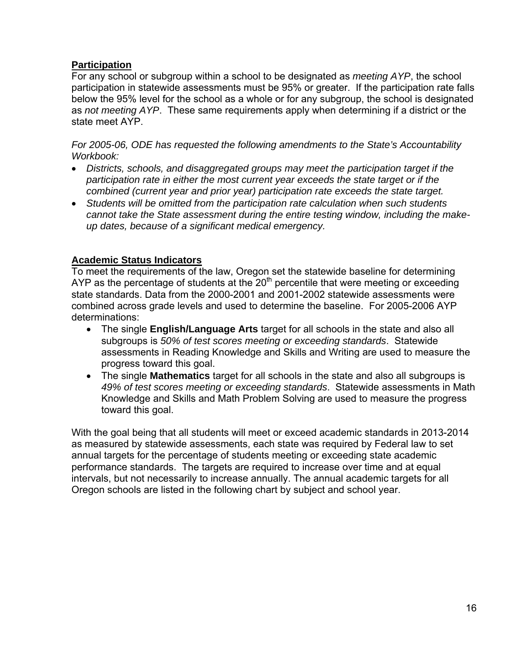#### **Participation**

For any school or subgroup within a school to be designated as *meeting AYP*, the school participation in statewide assessments must be 95% or greater. If the participation rate falls below the 95% level for the school as a whole or for any subgroup, the school is designated as *not meeting AYP*. These same requirements apply when determining if a district or the state meet AYP.

*For 2005-06, ODE has requested the following amendments to the State's Accountability Workbook:* 

- *Districts, schools, and disaggregated groups may meet the participation target if the participation rate in either the most current year exceeds the state target or if the combined (current year and prior year) participation rate exceeds the state target.*
- *Students will be omitted from the participation rate calculation when such students cannot take the State assessment during the entire testing window, including the makeup dates, because of a significant medical emergency.*

#### **Academic Status Indicators**

To meet the requirements of the law, Oregon set the statewide baseline for determining AYP as the percentage of students at the  $20<sup>th</sup>$  percentile that were meeting or exceeding state standards. Data from the 2000-2001 and 2001-2002 statewide assessments were combined across grade levels and used to determine the baseline. For 2005-2006 AYP determinations:

- The single **English/Language Arts** target for all schools in the state and also all subgroups is *50% of test scores meeting or exceeding standards*. Statewide assessments in Reading Knowledge and Skills and Writing are used to measure the progress toward this goal.
- The single **Mathematics** target for all schools in the state and also all subgroups is *49% of test scores meeting or exceeding standards*. Statewide assessments in Math Knowledge and Skills and Math Problem Solving are used to measure the progress toward this goal.

With the goal being that all students will meet or exceed academic standards in 2013-2014 as measured by statewide assessments, each state was required by Federal law to set annual targets for the percentage of students meeting or exceeding state academic performance standards. The targets are required to increase over time and at equal intervals, but not necessarily to increase annually. The annual academic targets for all Oregon schools are listed in the following chart by subject and school year.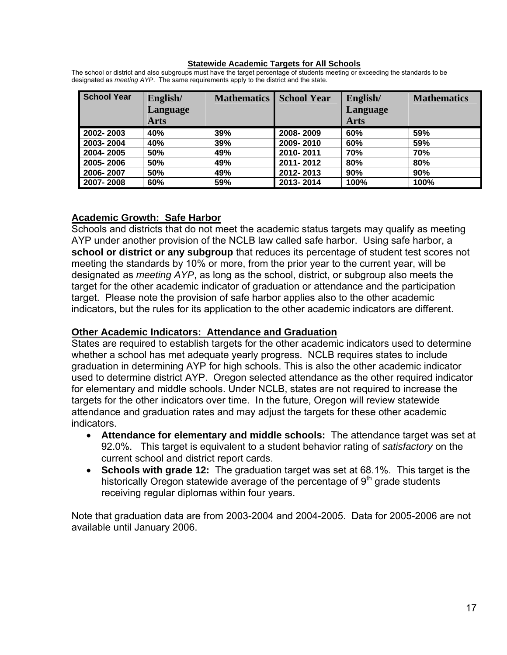#### **Statewide Academic Targets for All Schools**

| <b>School Year</b> | English/<br><b>Language</b> | <b>Mathematics</b> | <b>School Year</b> | English/<br><b>Language</b> | <b>Mathematics</b> |
|--------------------|-----------------------------|--------------------|--------------------|-----------------------------|--------------------|
|                    | <b>Arts</b>                 |                    |                    | <b>Arts</b>                 |                    |
| 2002-2003          | 40%                         | 39%                | 2008-2009          | 60%                         | 59%                |
| 2003-2004          | 40%                         | 39%                | 2009-2010          | 60%                         | 59%                |
| 2004-2005          | 50%                         | 49%                | 2010-2011          | 70%                         | 70%                |
| 2005-2006          | 50%                         | 49%                | 2011-2012          | 80%                         | 80%                |
| 2006-2007          | 50%                         | 49%                | 2012-2013          | 90%                         | 90%                |
| 2007-2008          | 60%                         | 59%                | 2013-2014          | 100%                        | 100%               |

The school or district and also subgroups must have the target percentage of students meeting or exceeding the standards to be designated as *meeting AYP*. The same requirements apply to the district and the state.

#### **Academic Growth: Safe Harbor**

Schools and districts that do not meet the academic status targets may qualify as meeting AYP under another provision of the NCLB law called safe harbor. Using safe harbor, a **school or district or any subgroup** that reduces its percentage of student test scores not meeting the standards by 10% or more, from the prior year to the current year, will be designated as *meeting AYP*, as long as the school, district, or subgroup also meets the target for the other academic indicator of graduation or attendance and the participation target. Please note the provision of safe harbor applies also to the other academic indicators, but the rules for its application to the other academic indicators are different.

#### **Other Academic Indicators: Attendance and Graduation**

States are required to establish targets for the other academic indicators used to determine whether a school has met adequate yearly progress. NCLB requires states to include graduation in determining AYP for high schools. This is also the other academic indicator used to determine district AYP. Oregon selected attendance as the other required indicator for elementary and middle schools. Under NCLB, states are not required to increase the targets for the other indicators over time. In the future, Oregon will review statewide attendance and graduation rates and may adjust the targets for these other academic indicators.

- **Attendance for elementary and middle schools:** The attendance target was set at 92.0%. This target is equivalent to a student behavior rating of *satisfactory* on the current school and district report cards.
- **Schools with grade 12:** The graduation target was set at 68.1%. This target is the historically Oregon statewide average of the percentage of  $9<sup>th</sup>$  grade students receiving regular diplomas within four years.

Note that graduation data are from 2003-2004 and 2004-2005. Data for 2005-2006 are not available until January 2006.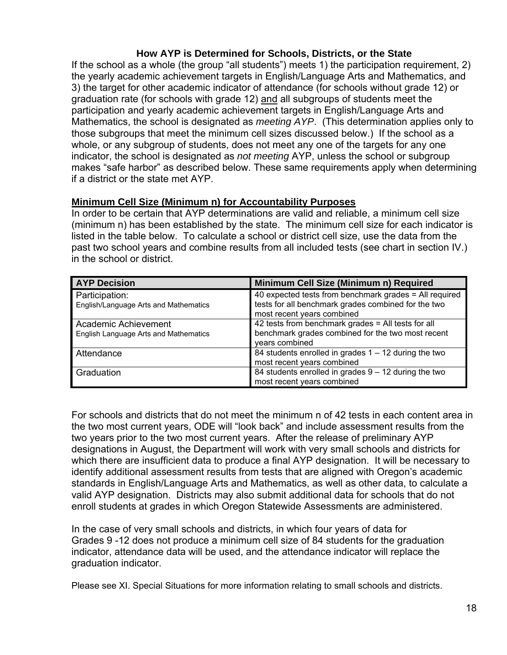#### **How AYP is Determined for Schools, Districts, or the State**

If the school as a whole (the group "all students") meets 1) the participation requirement, 2) the yearly academic achievement targets in English/Language Arts and Mathematics, and 3) the target for other academic indicator of attendance (for schools without grade 12) or graduation rate (for schools with grade 12) and all subgroups of students meet the participation and yearly academic achievement targets in English/Language Arts and Mathematics, the school is designated as *meeting AYP*. (This determination applies only to those subgroups that meet the minimum cell sizes discussed below.) If the school as a whole, or any subgroup of students, does not meet any one of the targets for any one indicator, the school is designated as *not meeting* AYP, unless the school or subgroup makes "safe harbor" as described below. These same requirements apply when determining if a district or the state met AYP.

#### **Minimum Cell Size (Minimum n) for Accountability Purposes**

In order to be certain that AYP determinations are valid and reliable, a minimum cell size (minimum n) has been established by the state. The minimum cell size for each indicator is listed in the table below. To calculate a school or district cell size, use the data from the past two school years and combine results from all included tests (see chart in section IV.) in the school or district.

| <b>AYP Decision</b>                                           | Minimum Cell Size (Minimum n) Required                                                                                                      |
|---------------------------------------------------------------|---------------------------------------------------------------------------------------------------------------------------------------------|
| Participation:<br>English/Language Arts and Mathematics       | 40 expected tests from benchmark grades = All required<br>tests for all benchmark grades combined for the two<br>most recent years combined |
| Academic Achievement<br>English Language Arts and Mathematics | 42 tests from benchmark grades = All tests for all<br>benchmark grades combined for the two most recent<br>vears combined                   |
| Attendance                                                    | 84 students enrolled in grades $1 - 12$ during the two<br>most recent years combined                                                        |
| Graduation                                                    | 84 students enrolled in grades $9 - 12$ during the two<br>most recent years combined                                                        |

For schools and districts that do not meet the minimum n of 42 tests in each content area in the two most current years, ODE will "look back" and include assessment results from the two years prior to the two most current years. After the release of preliminary AYP designations in August, the Department will work with very small schools and districts for which there are insufficient data to produce a final AYP designation. It will be necessary to identify additional assessment results from tests that are aligned with Oregon's academic standards in English/Language Arts and Mathematics, as well as other data, to calculate a valid AYP designation. Districts may also submit additional data for schools that do not enroll students at grades in which Oregon Statewide Assessments are administered.

In the case of very small schools and districts, in which four years of data for Grades 9 -12 does not produce a minimum cell size of 84 students for the graduation indicator, attendance data will be used, and the attendance indicator will replace the graduation indicator.

Please see XI. Special Situations for more information relating to small schools and districts.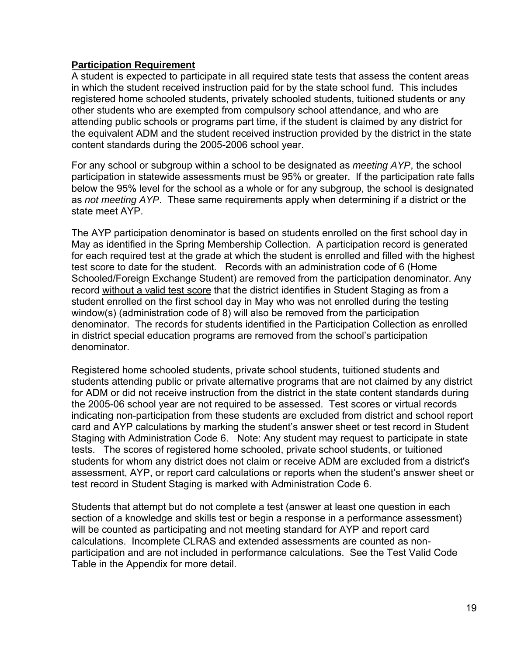#### **Participation Requirement**

A student is expected to participate in all required state tests that assess the content areas in which the student received instruction paid for by the state school fund. This includes registered home schooled students, privately schooled students, tuitioned students or any other students who are exempted from compulsory school attendance, and who are attending public schools or programs part time, if the student is claimed by any district for the equivalent ADM and the student received instruction provided by the district in the state content standards during the 2005-2006 school year.

For any school or subgroup within a school to be designated as *meeting AYP*, the school participation in statewide assessments must be 95% or greater. If the participation rate falls below the 95% level for the school as a whole or for any subgroup, the school is designated as *not meeting AYP*. These same requirements apply when determining if a district or the state meet AYP.

The AYP participation denominator is based on students enrolled on the first school day in May as identified in the Spring Membership Collection. A participation record is generated for each required test at the grade at which the student is enrolled and filled with the highest test score to date for the student. Records with an administration code of 6 (Home Schooled/Foreign Exchange Student) are removed from the participation denominator. Any record without a valid test score that the district identifies in Student Staging as from a student enrolled on the first school day in May who was not enrolled during the testing window(s) (administration code of 8) will also be removed from the participation denominator. The records for students identified in the Participation Collection as enrolled in district special education programs are removed from the school's participation denominator.

Registered home schooled students, private school students, tuitioned students and students attending public or private alternative programs that are not claimed by any district for ADM or did not receive instruction from the district in the state content standards during the 2005-06 school year are not required to be assessed. Test scores or virtual records indicating non-participation from these students are excluded from district and school report card and AYP calculations by marking the student's answer sheet or test record in Student Staging with Administration Code 6. Note: Any student may request to participate in state tests. The scores of registered home schooled, private school students, or tuitioned students for whom any district does not claim or receive ADM are excluded from a district's assessment, AYP, or report card calculations or reports when the student's answer sheet or test record in Student Staging is marked with Administration Code 6.

Students that attempt but do not complete a test (answer at least one question in each section of a knowledge and skills test or begin a response in a performance assessment) will be counted as participating and not meeting standard for AYP and report card calculations. Incomplete CLRAS and extended assessments are counted as nonparticipation and are not included in performance calculations. See the Test Valid Code Table in the Appendix for more detail.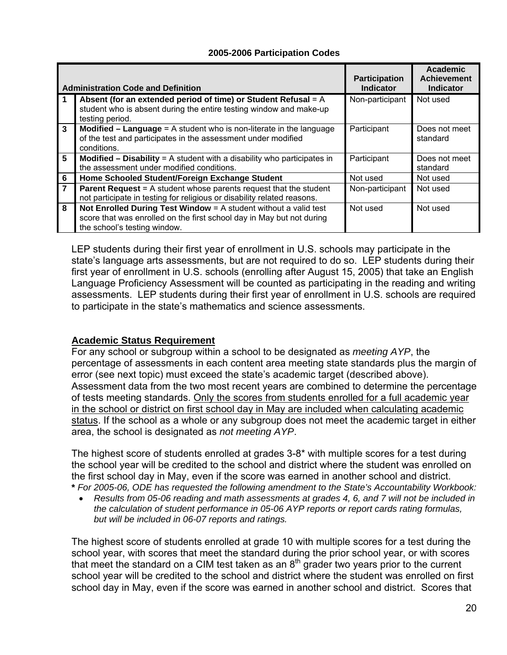#### **2005-2006 Participation Codes**

|                         | <b>Administration Code and Definition</b>                                                                                                                                   | <b>Participation</b><br><b>Indicator</b> | <b>Academic</b><br><b>Achievement</b><br><b>Indicator</b> |
|-------------------------|-----------------------------------------------------------------------------------------------------------------------------------------------------------------------------|------------------------------------------|-----------------------------------------------------------|
| 1                       | Absent (for an extended period of time) or Student Refusal = $A$<br>student who is absent during the entire testing window and make-up<br>testing period.                   | Non-participant                          | Not used                                                  |
| $\overline{\mathbf{3}}$ | <b>Modified – Language =</b> A student who is non-literate in the language<br>of the test and participates in the assessment under modified<br>conditions.                  | Participant                              | Does not meet<br>standard                                 |
| $5\phantom{.0}$         | <b>Modified – Disability = A student with a disability who participates in</b><br>the assessment under modified conditions.                                                 | Participant                              | Does not meet<br>standard                                 |
| 6                       | Home Schooled Student/Foreign Exchange Student                                                                                                                              | Not used                                 | Not used                                                  |
| $\overline{7}$          | <b>Parent Request = A student whose parents request that the student</b><br>not participate in testing for religious or disability related reasons.                         | Non-participant                          | Not used                                                  |
| 8                       | Not Enrolled During Test Window $=$ A student without a valid test<br>score that was enrolled on the first school day in May but not during<br>the school's testing window. | Not used                                 | Not used                                                  |

LEP students during their first year of enrollment in U.S. schools may participate in the state's language arts assessments, but are not required to do so. LEP students during their first year of enrollment in U.S. schools (enrolling after August 15, 2005) that take an English Language Proficiency Assessment will be counted as participating in the reading and writing assessments. LEP students during their first year of enrollment in U.S. schools are required to participate in the state's mathematics and science assessments.

#### **Academic Status Requirement**

For any school or subgroup within a school to be designated as *meeting AYP*, the percentage of assessments in each content area meeting state standards plus the margin of error (see next topic) must exceed the state's academic target (described above). Assessment data from the two most recent years are combined to determine the percentage of tests meeting standards. Only the scores from students enrolled for a full academic vear in the school or district on first school day in May are included when calculating academic status. If the school as a whole or any subgroup does not meet the academic target in either area, the school is designated as *not meeting AYP*.

The highest score of students enrolled at grades 3-8\* with multiple scores for a test during the school year will be credited to the school and district where the student was enrolled on the first school day in May, even if the score was earned in another school and district. **\*** *For 2005-06, ODE has requested the following amendment to the State's Accountability Workbook:* 

• *Results from 05-06 reading and math assessments at grades 4, 6, and 7 will not be included in the calculation of student performance in 05-06 AYP reports or report cards rating formulas, but will be included in 06-07 reports and ratings.* 

The highest score of students enrolled at grade 10 with multiple scores for a test during the school year, with scores that meet the standard during the prior school year, or with scores that meet the standard on a CIM test taken as an  $8<sup>th</sup>$  grader two years prior to the current school year will be credited to the school and district where the student was enrolled on first school day in May, even if the score was earned in another school and district. Scores that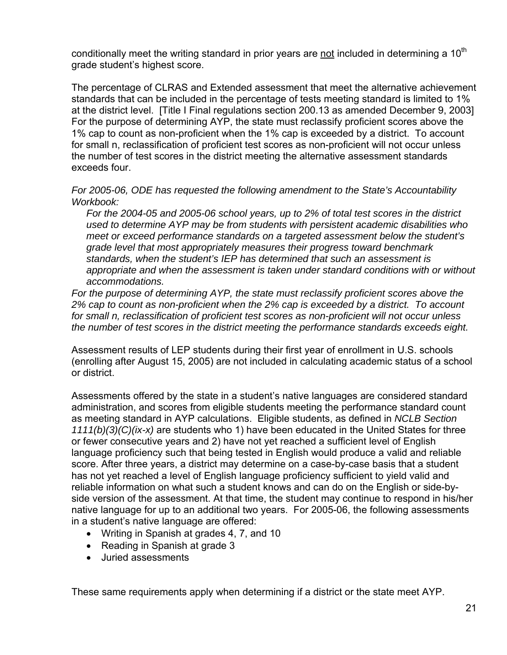conditionally meet the writing standard in prior years are not included in determining a  $10<sup>th</sup>$ grade student's highest score.

The percentage of CLRAS and Extended assessment that meet the alternative achievement standards that can be included in the percentage of tests meeting standard is limited to 1% at the district level. [Title I Final regulations section 200.13 as amended December 9, 2003] For the purpose of determining AYP, the state must reclassify proficient scores above the 1% cap to count as non-proficient when the 1% cap is exceeded by a district. To account for small n, reclassification of proficient test scores as non-proficient will not occur unless the number of test scores in the district meeting the alternative assessment standards exceeds four.

*For 2005-06, ODE has requested the following amendment to the State's Accountability Workbook:* 

*For the 2004-05 and 2005-06 school years, up to 2% of total test scores in the district used to determine AYP may be from students with persistent academic disabilities who meet or exceed performance standards on a targeted assessment below the student's grade level that most appropriately measures their progress toward benchmark standards, when the student's IEP has determined that such an assessment is appropriate and when the assessment is taken under standard conditions with or without accommodations.* 

*For the purpose of determining AYP, the state must reclassify proficient scores above the 2% cap to count as non-proficient when the 2% cap is exceeded by a district. To account for small n, reclassification of proficient test scores as non-proficient will not occur unless the number of test scores in the district meeting the performance standards exceeds eight.*

Assessment results of LEP students during their first year of enrollment in U.S. schools (enrolling after August 15, 2005) are not included in calculating academic status of a school or district.

Assessments offered by the state in a student's native languages are considered standard administration, and scores from eligible students meeting the performance standard count as meeting standard in AYP calculations. Eligible students, as defined in *NCLB Section 1111(b)(3)(C)(ix-x)* are students who 1) have been educated in the United States for three or fewer consecutive years and 2) have not yet reached a sufficient level of English language proficiency such that being tested in English would produce a valid and reliable score. After three years, a district may determine on a case-by-case basis that a student has not yet reached a level of English language proficiency sufficient to yield valid and reliable information on what such a student knows and can do on the English or side-byside version of the assessment. At that time, the student may continue to respond in his/her native language for up to an additional two years. For 2005-06, the following assessments in a student's native language are offered:

- Writing in Spanish at grades 4, 7, and 10
- Reading in Spanish at grade 3
- Juried assessments

These same requirements apply when determining if a district or the state meet AYP.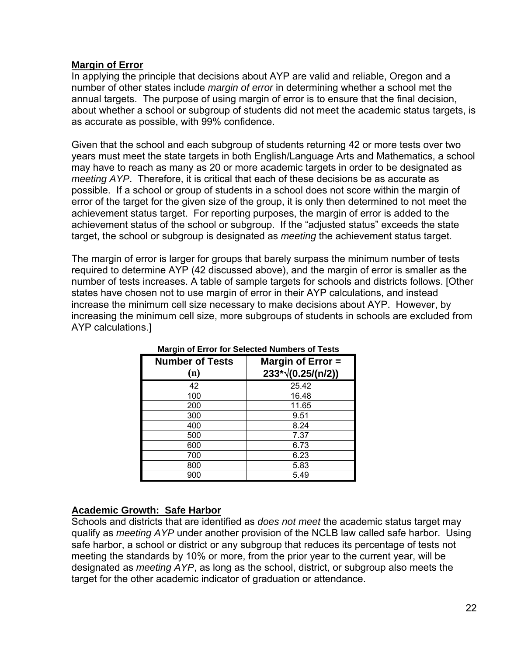#### **Margin of Error**

In applying the principle that decisions about AYP are valid and reliable, Oregon and a number of other states include *margin of error* in determining whether a school met the annual targets. The purpose of using margin of error is to ensure that the final decision, about whether a school or subgroup of students did not meet the academic status targets, is as accurate as possible, with 99% confidence.

Given that the school and each subgroup of students returning 42 or more tests over two years must meet the state targets in both English/Language Arts and Mathematics, a school may have to reach as many as 20 or more academic targets in order to be designated as *meeting AYP*. Therefore, it is critical that each of these decisions be as accurate as possible. If a school or group of students in a school does not score within the margin of error of the target for the given size of the group, it is only then determined to not meet the achievement status target. For reporting purposes, the margin of error is added to the achievement status of the school or subgroup. If the "adjusted status" exceeds the state target, the school or subgroup is designated as *meeting* the achievement status target.

The margin of error is larger for groups that barely surpass the minimum number of tests required to determine AYP (42 discussed above), and the margin of error is smaller as the number of tests increases. A table of sample targets for schools and districts follows. [Other states have chosen not to use margin of error in their AYP calculations, and instead increase the minimum cell size necessary to make decisions about AYP. However, by increasing the minimum cell size, more subgroups of students in schools are excluded from AYP calculations.]

| <b>Number of Tests</b><br>(n) | Margin of $Error =$<br>$233*\sqrt{(0.25/(n/2))}$ |
|-------------------------------|--------------------------------------------------|
| 42                            | 25.42                                            |
| 100                           | 16.48                                            |
| 200                           | 11.65                                            |
| 300                           | 9.51                                             |
| 400                           | 8.24                                             |
| 500                           | 7.37                                             |
| 600                           | 6.73                                             |
| 700                           | 6.23                                             |
| 800                           | 5.83                                             |
| 900                           | 5.49                                             |

#### **Margin of Error for Selected Numbers of Tests**

#### **Academic Growth: Safe Harbor**

Schools and districts that are identified as *does not meet* the academic status target may qualify as *meeting AYP* under another provision of the NCLB law called safe harbor. Using safe harbor, a school or district or any subgroup that reduces its percentage of tests not meeting the standards by 10% or more, from the prior year to the current year, will be designated as *meeting AYP*, as long as the school, district, or subgroup also meets the target for the other academic indicator of graduation or attendance.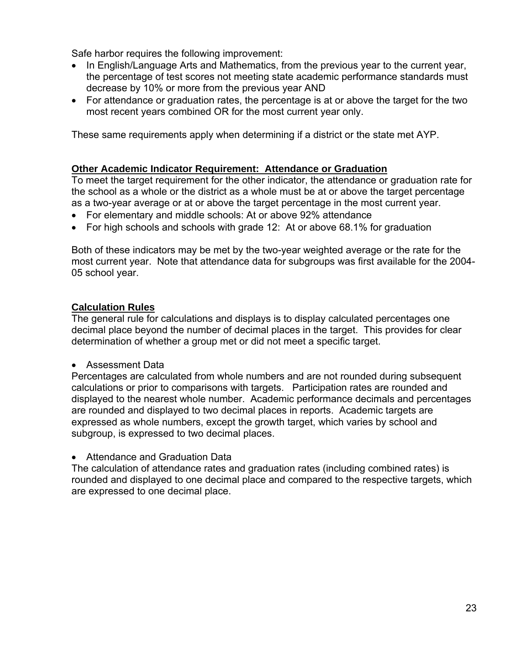Safe harbor requires the following improvement:

- In English/Language Arts and Mathematics, from the previous year to the current year, the percentage of test scores not meeting state academic performance standards must decrease by 10% or more from the previous year AND
- For attendance or graduation rates, the percentage is at or above the target for the two most recent years combined OR for the most current year only.

These same requirements apply when determining if a district or the state met AYP.

#### **Other Academic Indicator Requirement: Attendance or Graduation**

To meet the target requirement for the other indicator, the attendance or graduation rate for the school as a whole or the district as a whole must be at or above the target percentage as a two-year average or at or above the target percentage in the most current year.

- For elementary and middle schools: At or above 92% attendance
- For high schools and schools with grade 12: At or above 68.1% for graduation

Both of these indicators may be met by the two-year weighted average or the rate for the most current year. Note that attendance data for subgroups was first available for the 2004- 05 school year.

#### **Calculation Rules**

The general rule for calculations and displays is to display calculated percentages one decimal place beyond the number of decimal places in the target. This provides for clear determination of whether a group met or did not meet a specific target.

• Assessment Data

Percentages are calculated from whole numbers and are not rounded during subsequent calculations or prior to comparisons with targets. Participation rates are rounded and displayed to the nearest whole number. Academic performance decimals and percentages are rounded and displayed to two decimal places in reports. Academic targets are expressed as whole numbers, except the growth target, which varies by school and subgroup, is expressed to two decimal places.

• Attendance and Graduation Data

The calculation of attendance rates and graduation rates (including combined rates) is rounded and displayed to one decimal place and compared to the respective targets, which are expressed to one decimal place.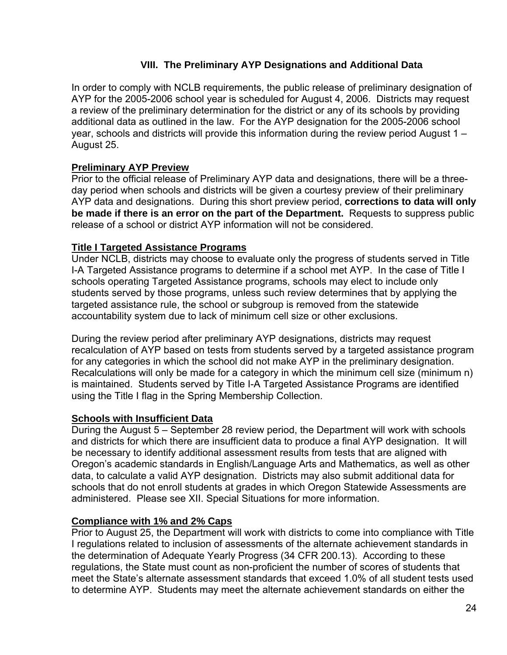#### **VIII. The Preliminary AYP Designations and Additional Data**

In order to comply with NCLB requirements, the public release of preliminary designation of AYP for the 2005-2006 school year is scheduled for August 4, 2006. Districts may request a review of the preliminary determination for the district or any of its schools by providing additional data as outlined in the law. For the AYP designation for the 2005-2006 school year, schools and districts will provide this information during the review period August 1 – August 25.

#### **Preliminary AYP Preview**

Prior to the official release of Preliminary AYP data and designations, there will be a threeday period when schools and districts will be given a courtesy preview of their preliminary AYP data and designations. During this short preview period, **corrections to data will only be made if there is an error on the part of the Department.** Requests to suppress public release of a school or district AYP information will not be considered.

#### **Title I Targeted Assistance Programs**

Under NCLB, districts may choose to evaluate only the progress of students served in Title I-A Targeted Assistance programs to determine if a school met AYP. In the case of Title I schools operating Targeted Assistance programs, schools may elect to include only students served by those programs, unless such review determines that by applying the targeted assistance rule, the school or subgroup is removed from the statewide accountability system due to lack of minimum cell size or other exclusions.

During the review period after preliminary AYP designations, districts may request recalculation of AYP based on tests from students served by a targeted assistance program for any categories in which the school did not make AYP in the preliminary designation. Recalculations will only be made for a category in which the minimum cell size (minimum n) is maintained. Students served by Title I-A Targeted Assistance Programs are identified using the Title I flag in the Spring Membership Collection.

#### **Schools with Insufficient Data**

During the August 5 – September 28 review period, the Department will work with schools and districts for which there are insufficient data to produce a final AYP designation. It will be necessary to identify additional assessment results from tests that are aligned with Oregon's academic standards in English/Language Arts and Mathematics, as well as other data, to calculate a valid AYP designation. Districts may also submit additional data for schools that do not enroll students at grades in which Oregon Statewide Assessments are administered. Please see XII. Special Situations for more information.

#### **Compliance with 1% and 2% Caps**

Prior to August 25, the Department will work with districts to come into compliance with Title I regulations related to inclusion of assessments of the alternate achievement standards in the determination of Adequate Yearly Progress (34 CFR 200.13). According to these regulations, the State must count as non-proficient the number of scores of students that meet the State's alternate assessment standards that exceed 1.0% of all student tests used to determine AYP. Students may meet the alternate achievement standards on either the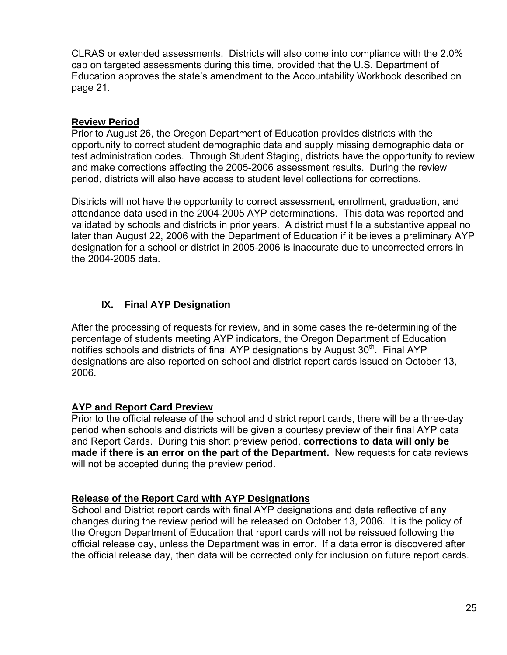CLRAS or extended assessments. Districts will also come into compliance with the 2.0% cap on targeted assessments during this time, provided that the U.S. Department of Education approves the state's amendment to the Accountability Workbook described on page 21.

#### **Review Period**

Prior to August 26, the Oregon Department of Education provides districts with the opportunity to correct student demographic data and supply missing demographic data or test administration codes. Through Student Staging, districts have the opportunity to review and make corrections affecting the 2005-2006 assessment results. During the review period, districts will also have access to student level collections for corrections.

Districts will not have the opportunity to correct assessment, enrollment, graduation, and attendance data used in the 2004-2005 AYP determinations. This data was reported and validated by schools and districts in prior years. A district must file a substantive appeal no later than August 22, 2006 with the Department of Education if it believes a preliminary AYP designation for a school or district in 2005-2006 is inaccurate due to uncorrected errors in the 2004-2005 data.

#### **IX. Final AYP Designation**

After the processing of requests for review, and in some cases the re-determining of the percentage of students meeting AYP indicators, the Oregon Department of Education notifies schools and districts of final AYP designations by August  $30<sup>th</sup>$ . Final AYP designations are also reported on school and district report cards issued on October 13, 2006.

#### **AYP and Report Card Preview**

Prior to the official release of the school and district report cards, there will be a three-day period when schools and districts will be given a courtesy preview of their final AYP data and Report Cards. During this short preview period, **corrections to data will only be made if there is an error on the part of the Department.** New requests for data reviews will not be accepted during the preview period.

#### **Release of the Report Card with AYP Designations**

School and District report cards with final AYP designations and data reflective of any changes during the review period will be released on October 13, 2006. It is the policy of the Oregon Department of Education that report cards will not be reissued following the official release day, unless the Department was in error. If a data error is discovered after the official release day, then data will be corrected only for inclusion on future report cards.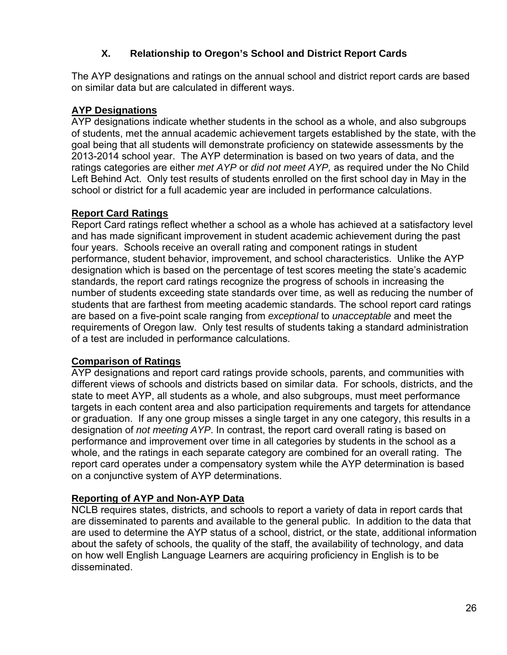#### **X. Relationship to Oregon's School and District Report Cards**

The AYP designations and ratings on the annual school and district report cards are based on similar data but are calculated in different ways.

#### **AYP Designations**

AYP designations indicate whether students in the school as a whole, and also subgroups of students, met the annual academic achievement targets established by the state, with the goal being that all students will demonstrate proficiency on statewide assessments by the 2013-2014 school year. The AYP determination is based on two years of data, and the ratings categories are either *met AYP* or *did not meet AYP,* as required under the No Child Left Behind Act. Only test results of students enrolled on the first school day in May in the school or district for a full academic year are included in performance calculations.

#### **Report Card Ratings**

Report Card ratings reflect whether a school as a whole has achieved at a satisfactory level and has made significant improvement in student academic achievement during the past four years. Schools receive an overall rating and component ratings in student performance, student behavior, improvement, and school characteristics. Unlike the AYP designation which is based on the percentage of test scores meeting the state's academic standards, the report card ratings recognize the progress of schools in increasing the number of students exceeding state standards over time, as well as reducing the number of students that are farthest from meeting academic standards. The school report card ratings are based on a five-point scale ranging from *exceptional* to *unacceptable* and meet the requirements of Oregon law.Only test results of students taking a standard administration of a test are included in performance calculations.

#### **Comparison of Ratings**

AYP designations and report card ratings provide schools, parents, and communities with different views of schools and districts based on similar data. For schools, districts, and the state to meet AYP, all students as a whole, and also subgroups, must meet performance targets in each content area and also participation requirements and targets for attendance or graduation. If any one group misses a single target in any one category, this results in a designation of *not meeting AYP*. In contrast, the report card overall rating is based on performance and improvement over time in all categories by students in the school as a whole, and the ratings in each separate category are combined for an overall rating. The report card operates under a compensatory system while the AYP determination is based on a conjunctive system of AYP determinations.

#### **Reporting of AYP and Non-AYP Data**

NCLB requires states, districts, and schools to report a variety of data in report cards that are disseminated to parents and available to the general public. In addition to the data that are used to determine the AYP status of a school, district, or the state, additional information about the safety of schools, the quality of the staff, the availability of technology, and data on how well English Language Learners are acquiring proficiency in English is to be disseminated.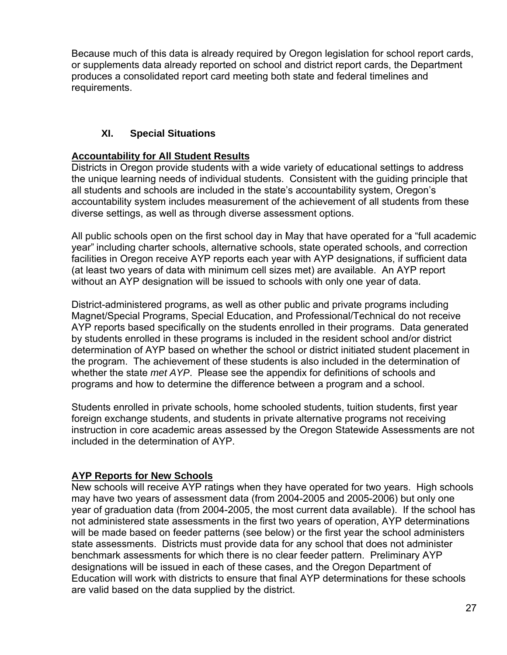Because much of this data is already required by Oregon legislation for school report cards, or supplements data already reported on school and district report cards, the Department produces a consolidated report card meeting both state and federal timelines and requirements.

#### **XI. Special Situations**

#### **Accountability for All Student Results**

Districts in Oregon provide students with a wide variety of educational settings to address the unique learning needs of individual students. Consistent with the guiding principle that all students and schools are included in the state's accountability system, Oregon's accountability system includes measurement of the achievement of all students from these diverse settings, as well as through diverse assessment options.

All public schools open on the first school day in May that have operated for a "full academic year" including charter schools, alternative schools, state operated schools, and correction facilities in Oregon receive AYP reports each year with AYP designations, if sufficient data (at least two years of data with minimum cell sizes met) are available. An AYP report without an AYP designation will be issued to schools with only one year of data.

District-administered programs, as well as other public and private programs including Magnet/Special Programs, Special Education, and Professional/Technical do not receive AYP reports based specifically on the students enrolled in their programs. Data generated by students enrolled in these programs is included in the resident school and/or district determination of AYP based on whether the school or district initiated student placement in the program. The achievement of these students is also included in the determination of whether the state *met AYP*. Please see the appendix for definitions of schools and programs and how to determine the difference between a program and a school.

Students enrolled in private schools, home schooled students, tuition students, first year foreign exchange students, and students in private alternative programs not receiving instruction in core academic areas assessed by the Oregon Statewide Assessments are not included in the determination of AYP.

#### **AYP Reports for New Schools**

New schools will receive AYP ratings when they have operated for two years. High schools may have two years of assessment data (from 2004-2005 and 2005-2006) but only one year of graduation data (from 2004-2005, the most current data available). If the school has not administered state assessments in the first two years of operation, AYP determinations will be made based on feeder patterns (see below) or the first year the school administers state assessments. Districts must provide data for any school that does not administer benchmark assessments for which there is no clear feeder pattern. Preliminary AYP designations will be issued in each of these cases, and the Oregon Department of Education will work with districts to ensure that final AYP determinations for these schools are valid based on the data supplied by the district.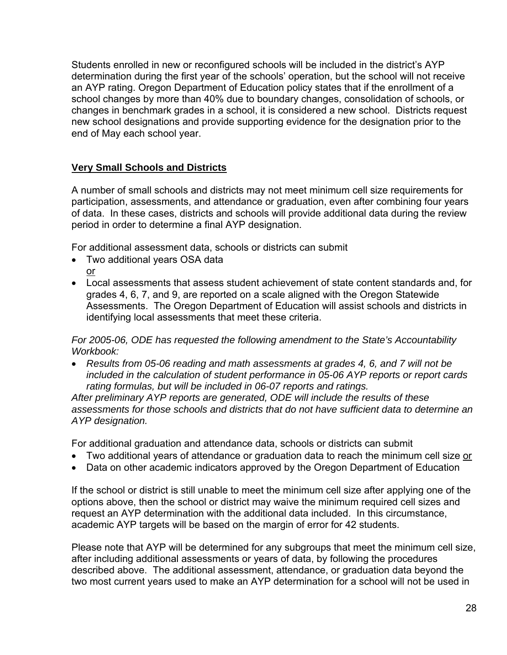Students enrolled in new or reconfigured schools will be included in the district's AYP determination during the first year of the schools' operation, but the school will not receive an AYP rating. Oregon Department of Education policy states that if the enrollment of a school changes by more than 40% due to boundary changes, consolidation of schools, or changes in benchmark grades in a school, it is considered a new school. Districts request new school designations and provide supporting evidence for the designation prior to the end of May each school year.

#### **Very Small Schools and Districts**

A number of small schools and districts may not meet minimum cell size requirements for participation, assessments, and attendance or graduation, even after combining four years of data. In these cases, districts and schools will provide additional data during the review period in order to determine a final AYP designation.

For additional assessment data, schools or districts can submit

- Two additional years OSA data or
- Local assessments that assess student achievement of state content standards and, for grades 4, 6, 7, and 9, are reported on a scale aligned with the Oregon Statewide Assessments. The Oregon Department of Education will assist schools and districts in identifying local assessments that meet these criteria.

*For 2005-06, ODE has requested the following amendment to the State's Accountability Workbook:* 

• *Results from 05-06 reading and math assessments at grades 4, 6, and 7 will not be included in the calculation of student performance in 05-06 AYP reports or report cards rating formulas, but will be included in 06-07 reports and ratings.* 

*After preliminary AYP reports are generated, ODE will include the results of these assessments for those schools and districts that do not have sufficient data to determine an AYP designation.* 

For additional graduation and attendance data, schools or districts can submit

- Two additional years of attendance or graduation data to reach the minimum cell size or
- Data on other academic indicators approved by the Oregon Department of Education

If the school or district is still unable to meet the minimum cell size after applying one of the options above, then the school or district may waive the minimum required cell sizes and request an AYP determination with the additional data included. In this circumstance, academic AYP targets will be based on the margin of error for 42 students.

Please note that AYP will be determined for any subgroups that meet the minimum cell size, after including additional assessments or years of data, by following the procedures described above. The additional assessment, attendance, or graduation data beyond the two most current years used to make an AYP determination for a school will not be used in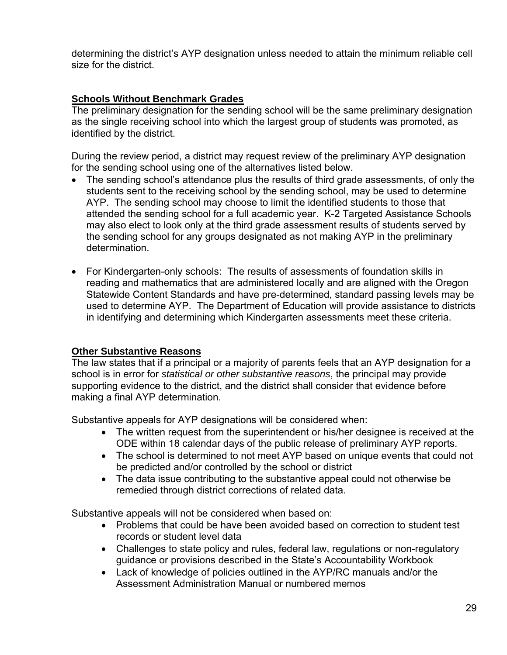determining the district's AYP designation unless needed to attain the minimum reliable cell size for the district.

#### **Schools Without Benchmark Grades**

The preliminary designation for the sending school will be the same preliminary designation as the single receiving school into which the largest group of students was promoted, as identified by the district.

During the review period, a district may request review of the preliminary AYP designation for the sending school using one of the alternatives listed below.

- The sending school's attendance plus the results of third grade assessments, of only the students sent to the receiving school by the sending school, may be used to determine AYP. The sending school may choose to limit the identified students to those that attended the sending school for a full academic year. K-2 Targeted Assistance Schools may also elect to look only at the third grade assessment results of students served by the sending school for any groups designated as not making AYP in the preliminary determination.
- For Kindergarten-only schools: The results of assessments of foundation skills in reading and mathematics that are administered locally and are aligned with the Oregon Statewide Content Standards and have pre-determined, standard passing levels may be used to determine AYP. The Department of Education will provide assistance to districts in identifying and determining which Kindergarten assessments meet these criteria.

#### **Other Substantive Reasons**

The law states that if a principal or a majority of parents feels that an AYP designation for a school is in error for *statistical or other substantive reasons*, the principal may provide supporting evidence to the district, and the district shall consider that evidence before making a final AYP determination.

Substantive appeals for AYP designations will be considered when:

- The written request from the superintendent or his/her designee is received at the ODE within 18 calendar days of the public release of preliminary AYP reports.
- The school is determined to not meet AYP based on unique events that could not be predicted and/or controlled by the school or district
- The data issue contributing to the substantive appeal could not otherwise be remedied through district corrections of related data.

Substantive appeals will not be considered when based on:

- Problems that could be have been avoided based on correction to student test records or student level data
- Challenges to state policy and rules, federal law, regulations or non-regulatory guidance or provisions described in the State's Accountability Workbook
- Lack of knowledge of policies outlined in the AYP/RC manuals and/or the Assessment Administration Manual or numbered memos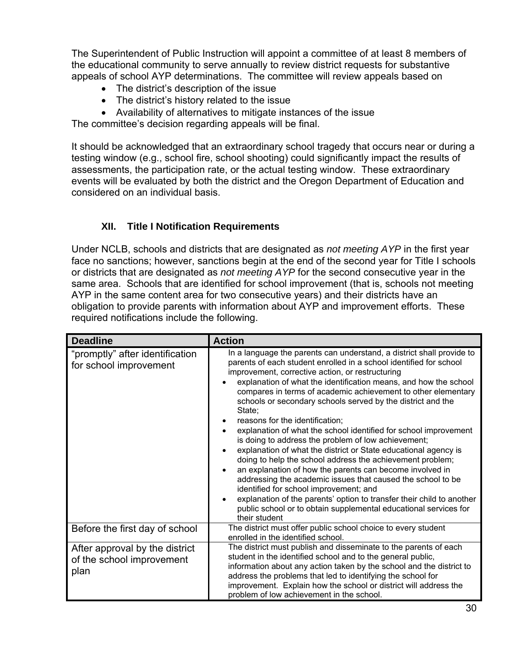The Superintendent of Public Instruction will appoint a committee of at least 8 members of the educational community to serve annually to review district requests for substantive appeals of school AYP determinations. The committee will review appeals based on

- The district's description of the issue
- The district's history related to the issue
- Availability of alternatives to mitigate instances of the issue

The committee's decision regarding appeals will be final.

It should be acknowledged that an extraordinary school tragedy that occurs near or during a testing window (e.g., school fire, school shooting) could significantly impact the results of assessments, the participation rate, or the actual testing window. These extraordinary events will be evaluated by both the district and the Oregon Department of Education and considered on an individual basis.

#### **XII. Title I Notification Requirements**

Under NCLB, schools and districts that are designated as *not meeting AYP* in the first year face no sanctions; however, sanctions begin at the end of the second year for Title I schools or districts that are designated as *not meeting AYP* for the second consecutive year in the same area. Schools that are identified for school improvement (that is, schools not meeting AYP in the same content area for two consecutive years) and their districts have an obligation to provide parents with information about AYP and improvement efforts. These required notifications include the following.

| <b>Deadline</b>                                                     | <b>Action</b>                                                                                                                                                                                                                                                                                                                                                                                                                                                                                                                                                                                                                                                                                                                                                                                                                                                                                                                                                                                                                                                            |
|---------------------------------------------------------------------|--------------------------------------------------------------------------------------------------------------------------------------------------------------------------------------------------------------------------------------------------------------------------------------------------------------------------------------------------------------------------------------------------------------------------------------------------------------------------------------------------------------------------------------------------------------------------------------------------------------------------------------------------------------------------------------------------------------------------------------------------------------------------------------------------------------------------------------------------------------------------------------------------------------------------------------------------------------------------------------------------------------------------------------------------------------------------|
| "promptly" after identification<br>for school improvement           | In a language the parents can understand, a district shall provide to<br>parents of each student enrolled in a school identified for school<br>improvement, corrective action, or restructuring<br>explanation of what the identification means, and how the school<br>compares in terms of academic achievement to other elementary<br>schools or secondary schools served by the district and the<br>State:<br>reasons for the identification;<br>explanation of what the school identified for school improvement<br>is doing to address the problem of low achievement;<br>explanation of what the district or State educational agency is<br>doing to help the school address the achievement problem;<br>an explanation of how the parents can become involved in<br>$\bullet$<br>addressing the academic issues that caused the school to be<br>identified for school improvement; and<br>explanation of the parents' option to transfer their child to another<br>$\bullet$<br>public school or to obtain supplemental educational services for<br>their student |
| Before the first day of school                                      | The district must offer public school choice to every student<br>enrolled in the identified school.                                                                                                                                                                                                                                                                                                                                                                                                                                                                                                                                                                                                                                                                                                                                                                                                                                                                                                                                                                      |
| After approval by the district<br>of the school improvement<br>plan | The district must publish and disseminate to the parents of each<br>student in the identified school and to the general public,<br>information about any action taken by the school and the district to<br>address the problems that led to identifying the school for<br>improvement. Explain how the school or district will address the<br>problem of low achievement in the school.                                                                                                                                                                                                                                                                                                                                                                                                                                                                                                                                                                                                                                                                                  |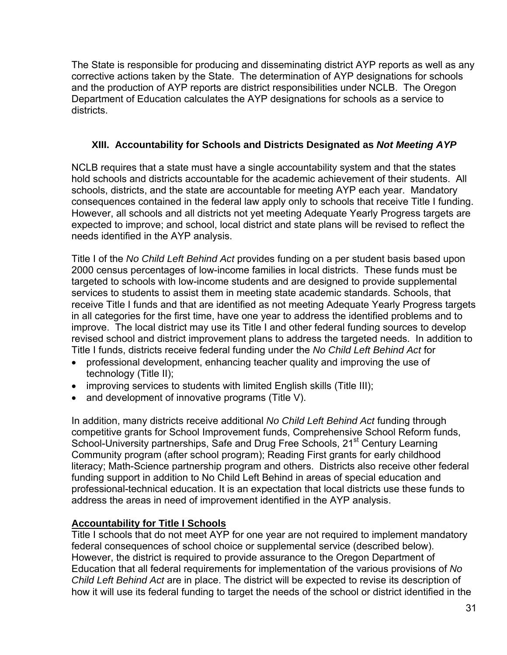The State is responsible for producing and disseminating district AYP reports as well as any corrective actions taken by the State. The determination of AYP designations for schools and the production of AYP reports are district responsibilities under NCLB. The Oregon Department of Education calculates the AYP designations for schools as a service to districts.

#### **XIII. Accountability for Schools and Districts Designated as** *Not Meeting AYP*

NCLB requires that a state must have a single accountability system and that the states hold schools and districts accountable for the academic achievement of their students. All schools, districts, and the state are accountable for meeting AYP each year. Mandatory consequences contained in the federal law apply only to schools that receive Title I funding. However, all schools and all districts not yet meeting Adequate Yearly Progress targets are expected to improve; and school, local district and state plans will be revised to reflect the needs identified in the AYP analysis.

Title I of the *No Child Left Behind Act* provides funding on a per student basis based upon 2000 census percentages of low-income families in local districts. These funds must be targeted to schools with low-income students and are designed to provide supplemental services to students to assist them in meeting state academic standards. Schools, that receive Title I funds and that are identified as not meeting Adequate Yearly Progress targets in all categories for the first time, have one year to address the identified problems and to improve. The local district may use its Title I and other federal funding sources to develop revised school and district improvement plans to address the targeted needs. In addition to Title I funds, districts receive federal funding under the *No Child Left Behind Act* for

- professional development, enhancing teacher quality and improving the use of technology (Title II);
- improving services to students with limited English skills (Title III);
- and development of innovative programs (Title V).

In addition, many districts receive additional *No Child Left Behind Act* funding through competitive grants for School Improvement funds, Comprehensive School Reform funds, School-University partnerships, Safe and Drug Free Schools, 21<sup>st</sup> Century Learning Community program (after school program); Reading First grants for early childhood literacy; Math-Science partnership program and others. Districts also receive other federal funding support in addition to No Child Left Behind in areas of special education and professional-technical education. It is an expectation that local districts use these funds to address the areas in need of improvement identified in the AYP analysis.

#### **Accountability for Title I Schools**

Title I schools that do not meet AYP for one year are not required to implement mandatory federal consequences of school choice or supplemental service (described below). However, the district is required to provide assurance to the Oregon Department of Education that all federal requirements for implementation of the various provisions of *No Child Left Behind Act* are in place. The district will be expected to revise its description of how it will use its federal funding to target the needs of the school or district identified in the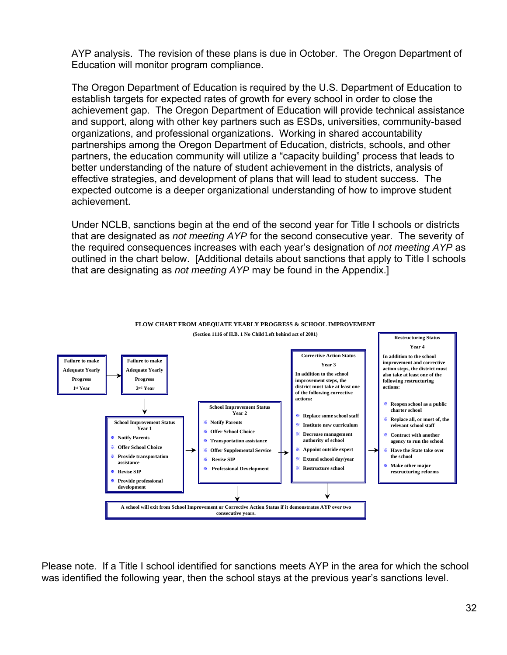AYP analysis. The revision of these plans is due in October. The Oregon Department of Education will monitor program compliance.

The Oregon Department of Education is required by the U.S. Department of Education to establish targets for expected rates of growth for every school in order to close the achievement gap. The Oregon Department of Education will provide technical assistance and support, along with other key partners such as ESDs, universities, community-based organizations, and professional organizations. Working in shared accountability partnerships among the Oregon Department of Education, districts, schools, and other partners, the education community will utilize a "capacity building" process that leads to better understanding of the nature of student achievement in the districts, analysis of effective strategies, and development of plans that will lead to student success. The expected outcome is a deeper organizational understanding of how to improve student achievement.

Under NCLB, sanctions begin at the end of the second year for Title I schools or districts that are designated as *not meeting AYP* for the second consecutive year. The severity of the required consequences increases with each year's designation of *not meeting AYP* as outlined in the chart below. [Additional details about sanctions that apply to Title I schools that are designating as *not meeting AYP* may be found in the Appendix.]



**FLOW CHART FROM ADEQUATE YEARLY PROGRESS & SCHOOL IMPROVEMENT**

Please note. If a Title I school identified for sanctions meets AYP in the area for which the school was identified the following year, then the school stays at the previous year's sanctions level.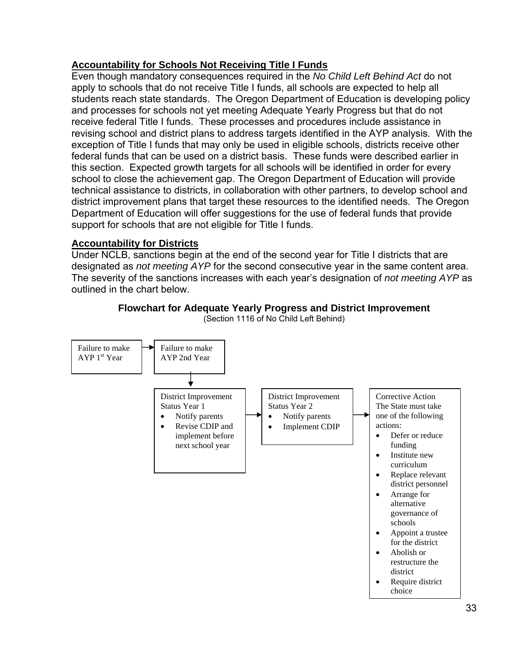#### **Accountability for Schools Not Receiving Title I Funds**

Even though mandatory consequences required in the *No Child Left Behind Act* do not apply to schools that do not receive Title I funds, all schools are expected to help all students reach state standards. The Oregon Department of Education is developing policy and processes for schools not yet meeting Adequate Yearly Progress but that do not receive federal Title I funds. These processes and procedures include assistance in revising school and district plans to address targets identified in the AYP analysis. With the exception of Title I funds that may only be used in eligible schools, districts receive other federal funds that can be used on a district basis. These funds were described earlier in this section. Expected growth targets for all schools will be identified in order for every school to close the achievement gap. The Oregon Department of Education will provide technical assistance to districts, in collaboration with other partners, to develop school and district improvement plans that target these resources to the identified needs. The Oregon Department of Education will offer suggestions for the use of federal funds that provide support for schools that are not eligible for Title I funds.

#### **Accountability for Districts**

Under NCLB, sanctions begin at the end of the second year for Title I districts that are designated as *not meeting AYP* for the second consecutive year in the same content area. The severity of the sanctions increases with each year's designation of *not meeting AYP* as outlined in the chart below.



#### **Flowchart for Adequate Yearly Progress and District Improvement**  (Section 1116 of No Child Left Behind)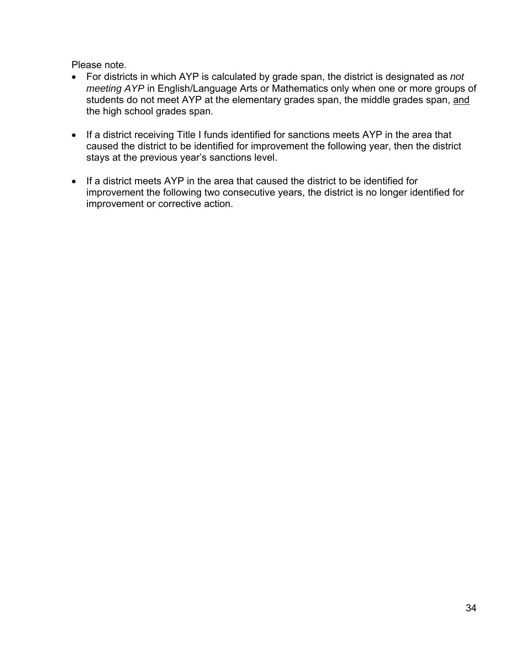Please note.

- For districts in which AYP is calculated by grade span, the district is designated as *not meeting AYP* in English/Language Arts or Mathematics only when one or more groups of students do not meet AYP at the elementary grades span, the middle grades span, and the high school grades span.
- If a district receiving Title I funds identified for sanctions meets AYP in the area that caused the district to be identified for improvement the following year, then the district stays at the previous year's sanctions level.
- If a district meets AYP in the area that caused the district to be identified for improvement the following two consecutive years, the district is no longer identified for improvement or corrective action.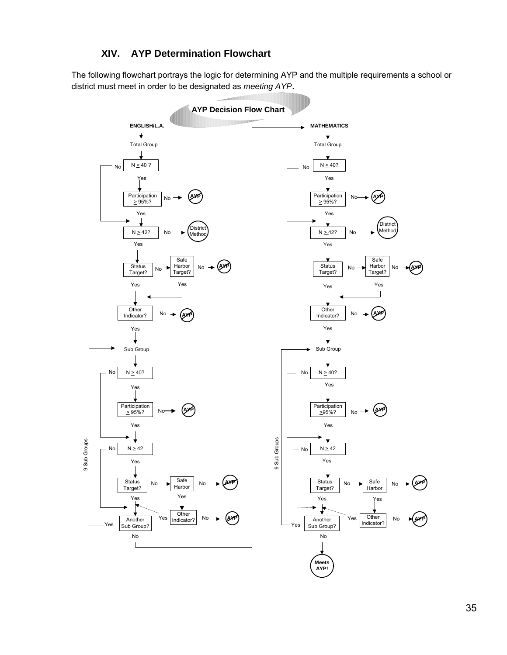#### **XIV. AYP Determination Flowchart**

The following flowchart portrays the logic for determining AYP and the multiple requirements a school or district must meet in order to be designated as *meeting AYP*.



35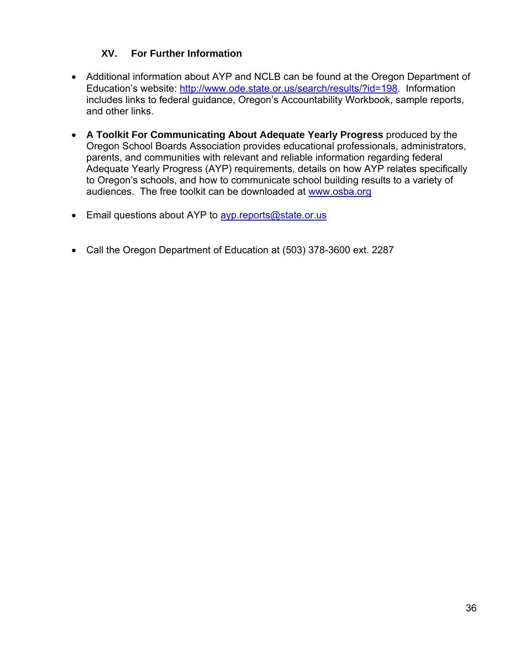#### **XV. For Further Information**

- Additional information about AYP and NCLB can be found at the Oregon Department of Education's website: [http://www.ode.state.or.us/search/results/?id=198.](http://www.ode.state.or.us/search/results/?id=198) Information includes links to federal guidance, Oregon's Accountability Workbook, sample reports, and other links.
- **A Toolkit For Communicating About Adequate Yearly Progress** produced by the Oregon School Boards Association provides educational professionals, administrators, parents, and communities with relevant and reliable information regarding federal Adequate Yearly Progress (AYP) requirements, details on how AYP relates specifically to Oregon's schools, and how to communicate school building results to a variety of audiences. The free toolkit can be downloaded at [www.osba.org](http://www.osba.org/)
- Email questions about AYP to avp.reports@state.or.us
- Call the Oregon Department of Education at (503) 378-3600 ext. 2287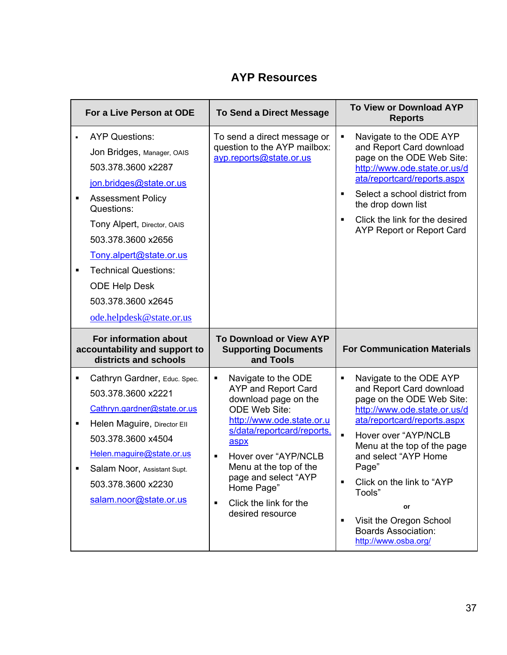## **AYP Resources**

|                | For a Live Person at ODE                                                                                                                                                                                                                                                                                                                | <b>To Send a Direct Message</b>                                                                                                                                                                                                                                                                                                                     | <b>To View or Download AYP</b><br><b>Reports</b>                                                                                                                                                                                                                                                                                                                                                         |  |  |
|----------------|-----------------------------------------------------------------------------------------------------------------------------------------------------------------------------------------------------------------------------------------------------------------------------------------------------------------------------------------|-----------------------------------------------------------------------------------------------------------------------------------------------------------------------------------------------------------------------------------------------------------------------------------------------------------------------------------------------------|----------------------------------------------------------------------------------------------------------------------------------------------------------------------------------------------------------------------------------------------------------------------------------------------------------------------------------------------------------------------------------------------------------|--|--|
| $\blacksquare$ | <b>AYP Questions:</b><br>Jon Bridges, Manager, OAIS<br>503.378.3600 x2287<br>jon.bridges@state.or.us<br><b>Assessment Policy</b><br>Questions:<br>Tony Alpert, Director, OAIS<br>503.378.3600 x2656<br>Tony.alpert@state.or.us<br><b>Technical Questions:</b><br><b>ODE Help Desk</b><br>503.378.3600 x2645<br>ode.helpdesk@state.or.us | To send a direct message or<br>question to the AYP mailbox:<br>ayp.reports@state.or.us                                                                                                                                                                                                                                                              | Navigate to the ODE AYP<br>$\blacksquare$<br>and Report Card download<br>page on the ODE Web Site:<br>http://www.ode.state.or.us/d<br>ata/reportcard/reports.aspx<br>Select a school district from<br>$\blacksquare$<br>the drop down list<br>Click the link for the desired<br>$\blacksquare$<br><b>AYP Report or Report Card</b>                                                                       |  |  |
|                | For information about<br>accountability and support to<br>districts and schools                                                                                                                                                                                                                                                         | <b>To Download or View AYP</b><br><b>Supporting Documents</b><br>and Tools                                                                                                                                                                                                                                                                          | <b>For Communication Materials</b>                                                                                                                                                                                                                                                                                                                                                                       |  |  |
| П<br>п         | Cathryn Gardner, Educ. Spec.<br>503.378.3600 x2221<br>Cathryn.gardner@state.or.us<br>Helen Maguire, Director Ell<br>503.378.3600 x4504<br>Helen.maguire@state.or.us<br>Salam Noor, Assistant Supt.<br>503.378.3600 x2230<br>salam.noor@state.or.us                                                                                      | Navigate to the ODE<br>٠<br><b>AYP and Report Card</b><br>download page on the<br><b>ODE Web Site:</b><br>http://www.ode.state.or.u<br>s/data/reportcard/reports.<br>aspx<br>Hover over "AYP/NCLB<br>$\blacksquare$<br>Menu at the top of the<br>page and select "AYP<br>Home Page"<br>Click the link for the<br>$\blacksquare$<br>desired resource | Navigate to the ODE AYP<br>п<br>and Report Card download<br>page on the ODE Web Site:<br>http://www.ode.state.or.us/d<br>ata/reportcard/reports.aspx<br>$\blacksquare$<br>Hover over "AYP/NCLB<br>Menu at the top of the page<br>and select "AYP Home<br>Page"<br>Click on the link to "AYP<br>$\blacksquare$<br>Tools"<br>or<br>Visit the Oregon School<br>$\blacksquare$<br><b>Boards Association:</b> |  |  |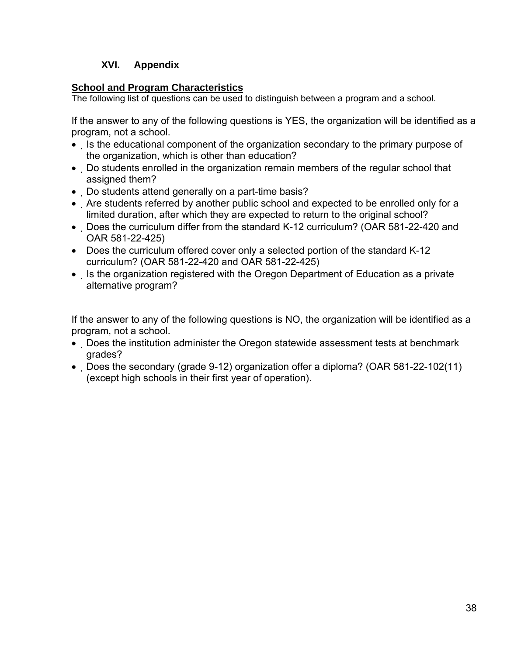#### **XVI. Appendix**

#### **School and Program Characteristics**

The following list of questions can be used to distinguish between a program and a school.

If the answer to any of the following questions is YES, the organization will be identified as a program, not a school.

- Is the educational component of the organization secondary to the primary purpose of the organization, which is other than education?
- Do students enrolled in the organization remain members of the regular school that assigned them?
- Do students attend generally on a part-time basis?
- Are students referred by another public school and expected to be enrolled only for a limited duration, after which they are expected to return to the original school?
- Does the curriculum differ from the standard K-12 curriculum? (OAR 581-22-420 and OAR 581-22-425)
- Does the curriculum offered cover only a selected portion of the standard K-12 curriculum? (OAR 581-22-420 and OAR 581-22-425)
- Is the organization registered with the Oregon Department of Education as a private alternative program?

If the answer to any of the following questions is NO, the organization will be identified as a program, not a school.

- Does the institution administer the Oregon statewide assessment tests at benchmark grades?
- Does the secondary (grade 9-12) organization offer a diploma? (OAR 581-22-102(11) (except high schools in their first year of operation).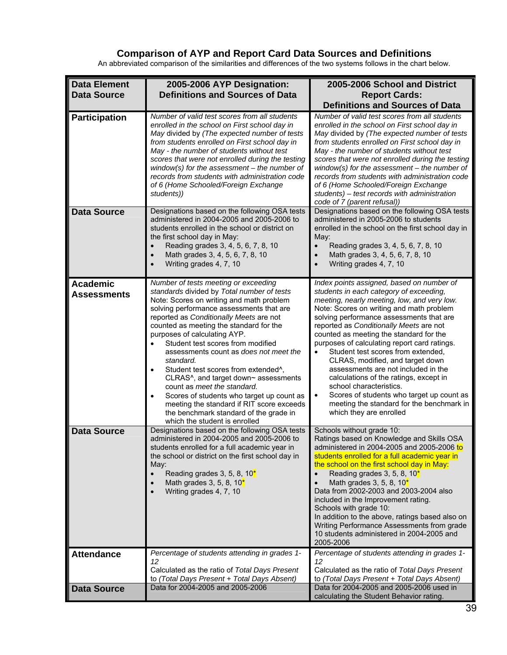#### **Comparison of AYP and Report Card Data Sources and Definitions**

An abbreviated comparison of the similarities and differences of the two systems follows in the chart below.

| <b>Data Element</b>                   | 2005-2006 AYP Designation:                                                                                                                                                                                                                                                                                                                                                                                                                                                                                                                                                                                                                                                                   | 2005-2006 School and District                                                                                                                                                                                                                                                                                                                                                                                                                                                                                                                                                                                                                                                                          |
|---------------------------------------|----------------------------------------------------------------------------------------------------------------------------------------------------------------------------------------------------------------------------------------------------------------------------------------------------------------------------------------------------------------------------------------------------------------------------------------------------------------------------------------------------------------------------------------------------------------------------------------------------------------------------------------------------------------------------------------------|--------------------------------------------------------------------------------------------------------------------------------------------------------------------------------------------------------------------------------------------------------------------------------------------------------------------------------------------------------------------------------------------------------------------------------------------------------------------------------------------------------------------------------------------------------------------------------------------------------------------------------------------------------------------------------------------------------|
| <b>Data Source</b>                    | <b>Definitions and Sources of Data</b>                                                                                                                                                                                                                                                                                                                                                                                                                                                                                                                                                                                                                                                       | <b>Report Cards:</b><br><b>Definitions and Sources of Data</b>                                                                                                                                                                                                                                                                                                                                                                                                                                                                                                                                                                                                                                         |
| <b>Participation</b>                  | Number of valid test scores from all students<br>enrolled in the school on First school day in<br>May divided by (The expected number of tests<br>from students enrolled on First school day in<br>May - the number of students without test<br>scores that were not enrolled during the testing<br>window(s) for the assessment $-$ the number of<br>records from students with administration code<br>of 6 (Home Schooled/Foreign Exchange<br>students))                                                                                                                                                                                                                                   | Number of valid test scores from all students<br>enrolled in the school on First school day in<br>May divided by (The expected number of tests<br>from students enrolled on First school day in<br>May - the number of students without test<br>scores that were not enrolled during the testing<br>window(s) for the assessment $-$ the number of<br>records from students with administration code<br>of 6 (Home Schooled/Foreign Exchange<br>students) - test records with administration<br>code of 7 (parent refusal))                                                                                                                                                                            |
| <b>Data Source</b>                    | Designations based on the following OSA tests<br>administered in 2004-2005 and 2005-2006 to<br>students enrolled in the school or district on<br>the first school day in May:<br>Reading grades 3, 4, 5, 6, 7, 8, 10<br>Math grades 3, 4, 5, 6, 7, 8, 10<br>$\bullet$<br>Writing grades 4, 7, 10                                                                                                                                                                                                                                                                                                                                                                                             | Designations based on the following OSA tests<br>administered in 2005-2006 to students<br>enrolled in the school on the first school day in<br>May:<br>Reading grades 3, 4, 5, 6, 7, 8, 10<br>$\bullet$<br>Math grades 3, 4, 5, 6, 7, 8, 10<br>$\bullet$<br>Writing grades 4, 7, 10<br>$\bullet$                                                                                                                                                                                                                                                                                                                                                                                                       |
| <b>Academic</b><br><b>Assessments</b> | Number of tests meeting or exceeding<br>standards divided by Total number of tests<br>Note: Scores on writing and math problem<br>solving performance assessments that are<br>reported as Conditionally Meets are not<br>counted as meeting the standard for the<br>purposes of calculating AYP.<br>Student test scores from modified<br>assessments count as does not meet the<br>standard.<br>Student test scores from extended <sup>^</sup> ,<br>CLRAS^, and target down~ assessments<br>count as meet the standard.<br>Scores of students who target up count as<br>meeting the standard if RIT score exceeds<br>the benchmark standard of the grade in<br>which the student is enrolled | Index points assigned, based on number of<br>students in each category of exceeding,<br>meeting, nearly meeting, low, and very low.<br>Note: Scores on writing and math problem<br>solving performance assessments that are<br>reported as Conditionally Meets are not<br>counted as meeting the standard for the<br>purposes of calculating report card ratings.<br>Student test scores from extended,<br>$\bullet$<br>CLRAS, modified, and target down<br>assessments are not included in the<br>calculations of the ratings, except in<br>school characteristics.<br>Scores of students who target up count as<br>$\bullet$<br>meeting the standard for the benchmark in<br>which they are enrolled |
| <b>Data Source</b>                    | Designations based on the following OSA tests<br>administered in 2004-2005 and 2005-2006 to<br>students enrolled for a full academic year in<br>the school or district on the first school day in<br>May:<br>Reading grades 3, 5, 8, 10 $*$<br>$\bullet$<br>Math grades 3, 5, 8, 10 $*$<br>Writing grades 4, 7, 10                                                                                                                                                                                                                                                                                                                                                                           | Schools without grade 10:<br>Ratings based on Knowledge and Skills OSA<br>administered in 2004-2005 and 2005-2006 to<br>students enrolled for a full academic year in<br>the school on the first school day in May:<br>Reading grades 3, 5, 8, 10 <sup>*</sup><br>Math grades 3, 5, 8, 10 $*$<br>Data from 2002-2003 and 2003-2004 also<br>included in the Improvement rating.<br>Schools with grade 10:<br>In addition to the above, ratings based also on<br>Writing Performance Assessments from grade<br>10 students administered in 2004-2005 and<br>2005-2006                                                                                                                                    |
| <b>Attendance</b>                     | Percentage of students attending in grades 1-<br>12<br>Calculated as the ratio of Total Days Present<br>to (Total Days Present + Total Days Absent)                                                                                                                                                                                                                                                                                                                                                                                                                                                                                                                                          | Percentage of students attending in grades 1-<br>12<br>Calculated as the ratio of Total Days Present<br>to (Total Days Present + Total Days Absent)                                                                                                                                                                                                                                                                                                                                                                                                                                                                                                                                                    |
| <b>Data Source</b>                    | Data for 2004-2005 and 2005-2006                                                                                                                                                                                                                                                                                                                                                                                                                                                                                                                                                                                                                                                             | Data for 2004-2005 and 2005-2006 used in<br>calculating the Student Behavior rating.                                                                                                                                                                                                                                                                                                                                                                                                                                                                                                                                                                                                                   |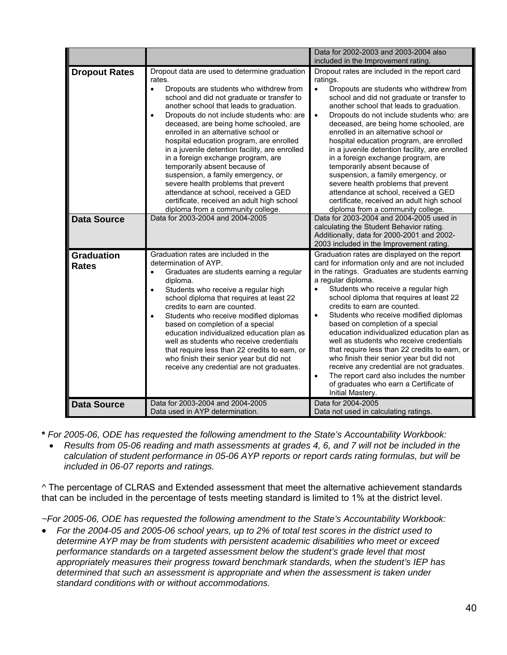|                                   |                                                                                                                                                                                                                                                                                                                                                                                                                                                                                                                                                                                                                                                                                                                                    | Data for 2002-2003 and 2003-2004 also                                                                                                                                                                                                                                                                                                                                                                                                                                                                                                                                                                                                                                                                                                                                       |
|-----------------------------------|------------------------------------------------------------------------------------------------------------------------------------------------------------------------------------------------------------------------------------------------------------------------------------------------------------------------------------------------------------------------------------------------------------------------------------------------------------------------------------------------------------------------------------------------------------------------------------------------------------------------------------------------------------------------------------------------------------------------------------|-----------------------------------------------------------------------------------------------------------------------------------------------------------------------------------------------------------------------------------------------------------------------------------------------------------------------------------------------------------------------------------------------------------------------------------------------------------------------------------------------------------------------------------------------------------------------------------------------------------------------------------------------------------------------------------------------------------------------------------------------------------------------------|
| <b>Dropout Rates</b>              | Dropout data are used to determine graduation<br>rates.<br>Dropouts are students who withdrew from<br>$\bullet$<br>school and did not graduate or transfer to<br>another school that leads to graduation.<br>Dropouts do not include students who: are<br>$\bullet$<br>deceased, are being home schooled, are<br>enrolled in an alternative school or<br>hospital education program, are enrolled<br>in a juvenile detention facility, are enrolled<br>in a foreign exchange program, are<br>temporarily absent because of<br>suspension, a family emergency, or<br>severe health problems that prevent<br>attendance at school, received a GED<br>certificate, received an adult high school<br>diploma from a community college. | included in the Improvement rating.<br>Dropout rates are included in the report card<br>ratings.<br>Dropouts are students who withdrew from<br>$\bullet$<br>school and did not graduate or transfer to<br>another school that leads to graduation.<br>Dropouts do not include students who: are<br>$\bullet$<br>deceased, are being home schooled, are<br>enrolled in an alternative school or<br>hospital education program, are enrolled<br>in a juvenile detention facility, are enrolled<br>in a foreign exchange program, are<br>temporarily absent because of<br>suspension, a family emergency, or<br>severe health problems that prevent<br>attendance at school, received a GED<br>certificate, received an adult high school<br>diploma from a community college. |
| <b>Data Source</b>                | Data for 2003-2004 and 2004-2005                                                                                                                                                                                                                                                                                                                                                                                                                                                                                                                                                                                                                                                                                                   | Data for 2003-2004 and 2004-2005 used in<br>calculating the Student Behavior rating.<br>Additionally, data for 2000-2001 and 2002-<br>2003 included in the Improvement rating                                                                                                                                                                                                                                                                                                                                                                                                                                                                                                                                                                                               |
| <b>Graduation</b><br><b>Rates</b> | Graduation rates are included in the<br>determination of AYP.<br>Graduates are students earning a regular<br>$\bullet$<br>diploma.<br>Students who receive a regular high<br>$\bullet$<br>school diploma that requires at least 22<br>credits to earn are counted.<br>Students who receive modified diplomas<br>$\bullet$<br>based on completion of a special<br>education individualized education plan as<br>well as students who receive credentials<br>that require less than 22 credits to earn, or<br>who finish their senior year but did not<br>receive any credential are not graduates.                                                                                                                                  | Graduation rates are displayed on the report<br>card for information only and are not included<br>in the ratings. Graduates are students earning<br>a regular diploma.<br>Students who receive a regular high<br>school diploma that requires at least 22<br>credits to earn are counted.<br>Students who receive modified diplomas<br>$\bullet$<br>based on completion of a special<br>education individualized education plan as<br>well as students who receive credentials<br>that require less than 22 credits to earn, or<br>who finish their senior year but did not<br>receive any credential are not graduates.<br>The report card also includes the number<br>$\bullet$<br>of graduates who earn a Certificate of<br>Initial Mastery.                             |
| <b>Data Source</b>                | Data for 2003-2004 and 2004-2005<br>Data used in AYP determination.                                                                                                                                                                                                                                                                                                                                                                                                                                                                                                                                                                                                                                                                | Data for 2004-2005<br>Data not used in calculating ratings.                                                                                                                                                                                                                                                                                                                                                                                                                                                                                                                                                                                                                                                                                                                 |

- **\*** *For 2005-06, ODE has requested the following amendment to the State's Accountability Workbook:*
- *Results from 05-06 reading and math assessments at grades 4, 6, and 7 will not be included in the calculation of student performance in 05-06 AYP reports or report cards rating formulas, but will be included in 06-07 reports and ratings.*

*^* The percentage of CLRAS and Extended assessment that meet the alternative achievement standards that can be included in the percentage of tests meeting standard is limited to 1% at the district level.

*~For 2005-06, ODE has requested the following amendment to the State's Accountability Workbook:* 

• *For the 2004-05 and 2005-06 school years, up to 2% of total test scores in the district used to determine AYP may be from students with persistent academic disabilities who meet or exceed performance standards on a targeted assessment below the student's grade level that most appropriately measures their progress toward benchmark standards, when the student's IEP has determined that such an assessment is appropriate and when the assessment is taken under standard conditions with or without accommodations.*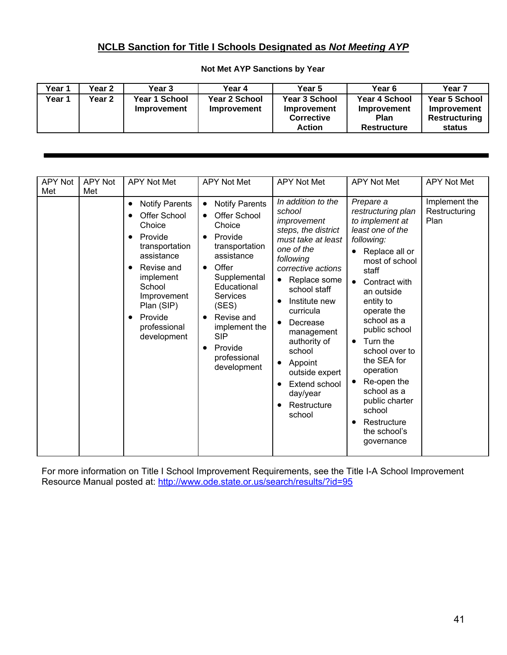#### **NCLB Sanction for Title I Schools Designated as** *Not Meeting AYP*

| Year 1 | Year 2 | Year 3                              | Year 4                                     | Year 5                                                                    | Year 6                                                            | Year 7                                                         |
|--------|--------|-------------------------------------|--------------------------------------------|---------------------------------------------------------------------------|-------------------------------------------------------------------|----------------------------------------------------------------|
| Year 1 | Year 2 | Year 1 School<br><b>Improvement</b> | <b>Year 2 School</b><br><b>Improvement</b> | <b>Year 3 School</b><br>Improvement<br><b>Corrective</b><br><b>Action</b> | Year 4 School<br>Improvement<br><b>Plan</b><br><b>Restructure</b> | <b>Year 5 School</b><br>Improvement<br>Restructuring<br>status |

#### **Not Met AYP Sanctions by Year**

| <b>APY Not</b> | APY Not | <b>APY Not Met</b>                                                                                                                                                                                                                                              | <b>APY Not Met</b>                                                                                                                                                                                                                                                 | <b>APY Not Met</b>                                                                                                                                                                                                                                                                                                                             | <b>APY Not Met</b>                                                                                                                                                                                                                                                                                                                                                                                                                   | <b>APY Not Met</b>                     |
|----------------|---------|-----------------------------------------------------------------------------------------------------------------------------------------------------------------------------------------------------------------------------------------------------------------|--------------------------------------------------------------------------------------------------------------------------------------------------------------------------------------------------------------------------------------------------------------------|------------------------------------------------------------------------------------------------------------------------------------------------------------------------------------------------------------------------------------------------------------------------------------------------------------------------------------------------|--------------------------------------------------------------------------------------------------------------------------------------------------------------------------------------------------------------------------------------------------------------------------------------------------------------------------------------------------------------------------------------------------------------------------------------|----------------------------------------|
| Met            | Met     | <b>Notify Parents</b><br>$\bullet$<br>Offer School<br>$\bullet$<br>Choice<br>Provide<br>٠<br>transportation<br>assistance<br>Revise and<br>$\bullet$<br>implement<br>School<br>Improvement<br>Plan (SIP)<br>Provide<br>$\bullet$<br>professional<br>development | <b>Notify Parents</b><br>Offer School<br>Choice<br>Provide<br>transportation<br>assistance<br>Offer<br>$\bullet$<br>Supplemental<br>Educational<br><b>Services</b><br>(SES)<br>Revise and<br>implement the<br><b>SIP</b><br>Provide<br>professional<br>development | In addition to the<br>school<br>improvement<br>steps, the district<br>must take at least<br>one of the<br>following<br>corrective actions<br>Replace some<br>school staff<br>Institute new<br>curricula<br>Decrease<br>management<br>authority of<br>school<br>Appoint<br>outside expert<br>Extend school<br>day/year<br>Restructure<br>school | Prepare a<br>restructuring plan<br>to implement at<br>least one of the<br>following:<br>Replace all or<br>most of school<br>staff<br>Contract with<br>$\bullet$<br>an outside<br>entity to<br>operate the<br>school as a<br>public school<br>Turn the<br>$\bullet$<br>school over to<br>the SEA for<br>operation<br>Re-open the<br>school as a<br>public charter<br>school<br>Restructure<br>$\bullet$<br>the school's<br>governance | Implement the<br>Restructuring<br>Plan |

For more information on Title I School Improvement Requirements, see the Title I-A School Improvement Resource Manual posted at:<http://www.ode.state.or.us/search/results/?id=95>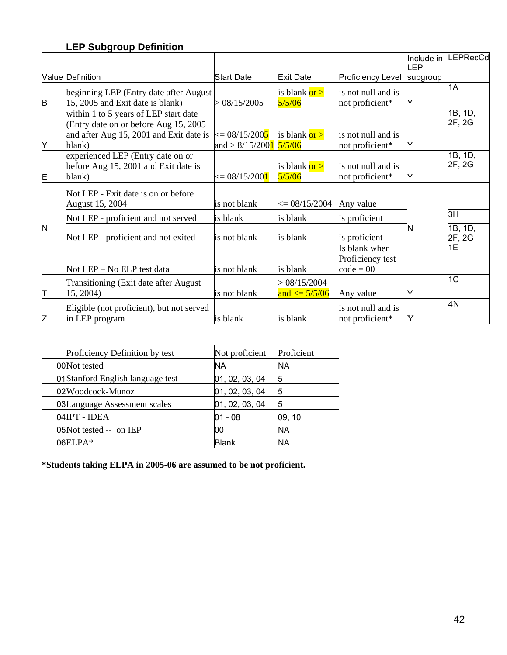## **LEP Subgroup Definition**

|    |                                           |                                                |                         |                          |          | Include in LEPRecCd |
|----|-------------------------------------------|------------------------------------------------|-------------------------|--------------------------|----------|---------------------|
|    |                                           |                                                |                         |                          | LEP      |                     |
|    | <b>Value Definition</b>                   | <b>Start Date</b>                              | <b>Exit Date</b>        | <b>Proficiency Level</b> | subgroup |                     |
|    | beginning LEP (Entry date after August)   |                                                | is blank or >           | is not null and is       |          | 1A                  |
| B  | 15, 2005 and Exit date is blank)          | > 08/15/2005                                   | 5/5/06                  | not proficient*          | Y        |                     |
|    | within 1 to 5 years of LEP start date     |                                                |                         |                          |          | 1B, 1D,             |
|    | (Entry date on or before Aug 15, 2005)    |                                                |                         |                          |          | 2F, 2G              |
|    | and after Aug 15, 2001 and Exit date is   | $\leq 0.0015/2005$                             | is blank $or >$         | is not null and is       |          |                     |
| Y  | blank)                                    | and > $8/15/200$ <sup>1</sup> $\frac{5}{5/06}$ |                         | not proficient*          |          |                     |
|    | experienced LEP (Entry date on or         |                                                |                         |                          |          | 1B, 1D,             |
|    | before Aug 15, 2001 and Exit date is      |                                                | is blank or >           | is not null and is       |          | 2F, 2G              |
| E  | blank)                                    | $\leq 08/15/2001$                              | 5/5/06                  | not proficient*          | Y        |                     |
|    | Not LEP - Exit date is on or before       |                                                |                         |                          |          |                     |
|    | August 15, 2004                           | is not blank                                   | $\epsilon = 08/15/2004$ | Any value                |          |                     |
|    |                                           |                                                |                         |                          |          | 3H                  |
|    | Not LEP - proficient and not served       | is blank                                       | is blank                | is proficient            |          |                     |
| N  |                                           |                                                |                         |                          | N        | 1B, 1D,             |
|    | Not LEP - proficient and not exited       | is not blank                                   | is blank                | is proficient            |          | 2F, 2G              |
|    |                                           |                                                |                         | Is blank when            |          | 1E                  |
|    |                                           |                                                |                         | Proficiency test         |          |                     |
|    | Not LEP – No ELP test data                | is not blank                                   | is blank                | $code = 00$              |          |                     |
|    | Transitioning (Exit date after August     |                                                | > 08/15/2004            |                          |          | 1C                  |
| ΙΤ | 15, 2004)                                 | is not blank                                   | and $\leq$ = 5/5/06     | Any value                |          |                     |
|    | Eligible (not proficient), but not served |                                                |                         | is not null and is       |          | 4N                  |
| Z  | in LEP program                            | is blank                                       | is blank                | not proficient*          | Y        |                     |

| Proficiency Definition by test    | Not proficient | Proficient |
|-----------------------------------|----------------|------------|
| 00Not tested                      | ΝA             | <b>NA</b>  |
| 01 Stanford English language test | 01, 02, 03, 04 | 5          |
| 02Woodcock-Munoz                  | 01, 02, 03, 04 | 5          |
| 03Language Assessment scales      | 01, 02, 03, 04 | 5          |
| 04IPT - IDEA                      | $01 - 08$      | 09, 10     |
| 05Not tested -- on IEP            | 00             | ΝA         |
| 06ELPA*                           | <b>Blank</b>   | <b>NA</b>  |

**\*Students taking ELPA in 2005-06 are assumed to be not proficient.**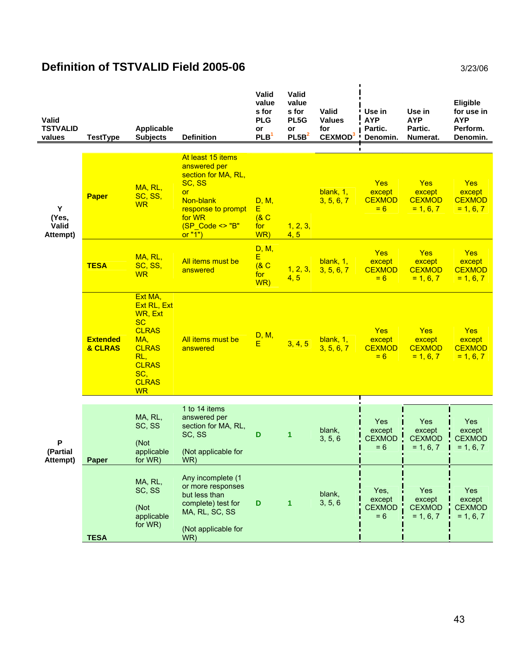## **Definition of TSTVALID Field 2005-06** 3/23/06

| Valid<br><b>TSTVALID</b><br>values | <b>TestType</b>            | <b>Applicable</b><br><b>Subjects</b>                                                                                                             | <b>Definition</b>                                                                                                                     | Valid<br>value<br>s for<br><b>PLG</b><br>or<br>PLB <sup>1</sup> | Valid<br>value<br>s for<br>PL5G<br>or<br>PL5B <sup>2</sup> | Valid<br><b>Values</b><br>for<br>CEXMOD <sup>3</sup> | Use in<br><b>AYP</b><br>Partic.<br>Denomin.    | Use in<br><b>AYP</b><br>Partic.<br>Numerat.          | Eligible<br>for use in<br><b>AYP</b><br>Perform.<br>Denomin. |
|------------------------------------|----------------------------|--------------------------------------------------------------------------------------------------------------------------------------------------|---------------------------------------------------------------------------------------------------------------------------------------|-----------------------------------------------------------------|------------------------------------------------------------|------------------------------------------------------|------------------------------------------------|------------------------------------------------------|--------------------------------------------------------------|
|                                    |                            |                                                                                                                                                  | At least 15 items                                                                                                                     |                                                                 |                                                            |                                                      |                                                |                                                      |                                                              |
| Υ<br>(Yes,<br>Valid<br>Attempt)    | <b>Paper</b>               | MA, RL,<br>SC, SS,<br><b>WR</b>                                                                                                                  | answered per<br>section for MA, RL,<br>SC, SS<br><b>or</b><br>Non-blank<br>response to prompt<br>for WR<br>(SP_Code <> "B"<br>or "1") | D, M,<br>E<br>(8C)<br>for<br>WR)                                | 1, 2, 3,<br>4, 5                                           | blank, 1,<br>3, 5, 6, 7                              | <b>Yes</b><br>except<br><b>CEXMOD</b><br>$= 6$ | <b>Yes</b><br>except<br><b>CEXMOD</b><br>$= 1, 6, 7$ | Yes<br>except<br><b>CEXMOD</b><br>$= 1, 6, 7$                |
|                                    | <b>TESA</b>                | MA, RL,<br>SC, SS,<br><b>WR</b>                                                                                                                  | All items must be<br>answered                                                                                                         | D, M,<br>E.<br>(8C)<br>for<br>WR)                               | 1, 2, 3,<br>4, 5                                           | blank, 1,<br>3, 5, 6, 7                              | Yes<br>except<br><b>CEXMOD</b><br>$= 6$        | Yes<br>except<br><b>CEXMOD</b><br>$= 1, 6, 7$        | Yes<br>except<br><b>CEXMOD</b><br>$= 1, 6, 7$                |
|                                    | <b>Extended</b><br>& CLRAS | Ext MA,<br>Ext RL, Ext<br>WR, Ext<br><b>SC</b><br><b>CLRAS</b><br>MA,<br><b>CLRAS</b><br>RL,<br><b>CLRAS</b><br>SC,<br><b>CLRAS</b><br><b>WR</b> | All items must be<br>answered                                                                                                         | D, M,<br>E                                                      | 3, 4, 5                                                    | blank, 1,<br>3, 5, 6, 7                              | Yes<br>except<br><b>CEXMOD</b><br>$= 6$        | <b>Yes</b><br>except<br><b>CEXMOD</b><br>$= 1, 6, 7$ | <b>Yes</b><br>except<br><b>CEXMOD</b><br>$= 1, 6, 7$         |
|                                    |                            |                                                                                                                                                  | 1 to 14 items                                                                                                                         |                                                                 |                                                            |                                                      |                                                |                                                      |                                                              |
| P<br>(Partial<br>Attempt)          | <b>Paper</b>               | MA, RL,<br>SC, SS<br>(Not<br>applicable<br>for WR)                                                                                               | answered per<br>section for MA, RL,<br>SC, SS<br>(Not applicable for<br>WR)                                                           | $\mathbf D$                                                     | 1                                                          | blank,<br>3, 5, 6                                    | Yes<br>except<br><b>CEXMOD</b><br>$= 6$        | Yes<br>except<br><b>CEXMOD</b><br>$= 1, 6, 7$        | Yes<br>except<br><b>CEXMOD</b><br>$= 1, 6, 7$                |
|                                    | <b>TESA</b>                | MA, RL,<br>SC, SS<br>(Not<br>applicable<br>for WR)                                                                                               | Any incomplete (1<br>or more responses<br>but less than<br>complete) test for<br>MA, RL, SC, SS<br>(Not applicable for<br>WR)         | D                                                               | 1                                                          | blank,<br>3, 5, 6                                    | Yes,<br>except<br><b>CEXMOD</b><br>$= 6$       | Yes<br>except<br><b>CEXMOD</b><br>$= 1, 6, 7$        | Yes<br>except<br><b>CEXMOD</b><br>$= 1, 6, 7$                |

 $\mathbf{r}$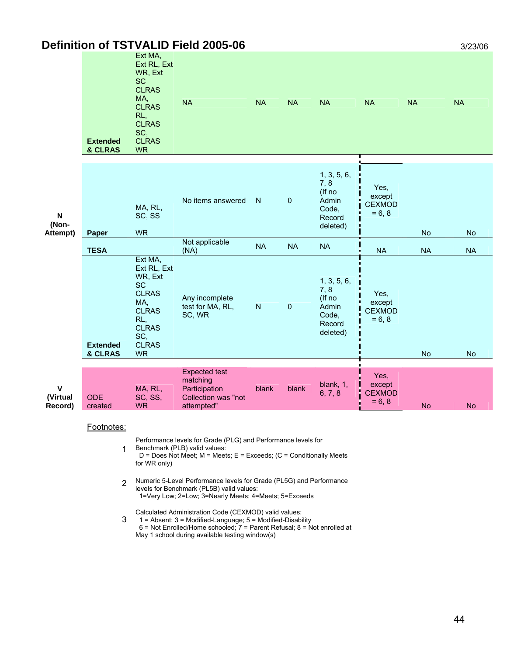|                                                | <b>Definition of TSTVALID Field 2005-06</b> |                                                                                                                                                  |                                                                                                                                                                          |              |             |                                                                       |                                             |           | 3/23/06   |
|------------------------------------------------|---------------------------------------------|--------------------------------------------------------------------------------------------------------------------------------------------------|--------------------------------------------------------------------------------------------------------------------------------------------------------------------------|--------------|-------------|-----------------------------------------------------------------------|---------------------------------------------|-----------|-----------|
|                                                | <b>Extended</b><br>& CLRAS                  | Ext MA,<br>Ext RL, Ext<br>WR, Ext<br><b>SC</b><br><b>CLRAS</b><br>MA,<br><b>CLRAS</b><br>RL,<br><b>CLRAS</b><br>SC,<br><b>CLRAS</b><br><b>WR</b> | <b>NA</b>                                                                                                                                                                | <b>NA</b>    | <b>NA</b>   | <b>NA</b>                                                             | <b>NA</b>                                   | <b>NA</b> | <b>NA</b> |
| $\boldsymbol{\mathsf{N}}$<br>(Non-<br>Attempt) | Paper                                       | MA, RL,<br>SC, SS<br><b>WR</b>                                                                                                                   | No items answered                                                                                                                                                        | $\mathsf{N}$ | $\pmb{0}$   | 1, 3, 5, 6,<br>7, 8<br>(If no<br>Admin<br>Code,<br>Record<br>deleted) | Yes,<br>except<br><b>CEXMOD</b><br>$= 6, 8$ | <b>No</b> | No        |
|                                                | <b>TESA</b>                                 |                                                                                                                                                  | Not applicable<br>(NA)                                                                                                                                                   | <b>NA</b>    | <b>NA</b>   | <b>NA</b>                                                             | <b>NA</b>                                   | <b>NA</b> | <b>NA</b> |
|                                                | <b>Extended</b>                             | Ext MA,<br>Ext RL, Ext<br>WR, Ext<br><b>SC</b><br><b>CLRAS</b><br>MA,<br><b>CLRAS</b><br>RL,<br><b>CLRAS</b><br>SC,<br><b>CLRAS</b>              | Any incomplete<br>test for MA, RL,<br>SC, WR                                                                                                                             | $\mathsf{N}$ | $\mathbf 0$ | 1, 3, 5, 6,<br>7,8<br>(If no<br>Admin<br>Code,<br>Record<br>deleted)  | Yes,<br>except<br><b>CEXMOD</b><br>$= 6, 8$ |           |           |
|                                                | & CLRAS                                     | <b>WR</b>                                                                                                                                        |                                                                                                                                                                          |              |             |                                                                       |                                             | <b>No</b> | <b>No</b> |
| $\mathsf{v}$<br>(Virtual<br>Record)            | <b>ODE</b><br>created                       | MA, RL,<br>SC, SS,<br><b>WR</b>                                                                                                                  | <b>Expected test</b><br>matching<br>Participation<br>Collection was "not<br>attempted                                                                                    | blank        | blank       | blank, 1,<br>6, 7, 8                                                  | Yes,<br>except<br><b>CEXMOD</b><br>$= 6, 8$ | <b>No</b> | <b>No</b> |
|                                                | Footnotes:                                  | for WR only)                                                                                                                                     | Performance levels for Grade (PLG) and Performance levels for<br>Benchmark (PLB) valid values:<br>$D = Does Not Meet; M = Meets; E = Exceeds; (C = Conditionally Meets)$ |              |             |                                                                       |                                             |           |           |

2 Numeric 5-Level Performance levels for Grade (PL5G) and Performance levels for Benchmark (PL5B) valid values: 1=Very Low; 2=Low; 3=Nearly Meets; 4=Meets; 5=Exceeds

3 Calculated Administration Code (CEXMOD) valid values:

 1 = Absent; 3 = Modified-Language; 5 = Modified-Disability 6 = Not Enrolled/Home schooled; 7 = Parent Refusal; 8 = Not enrolled at

May 1 school during available testing window(s)